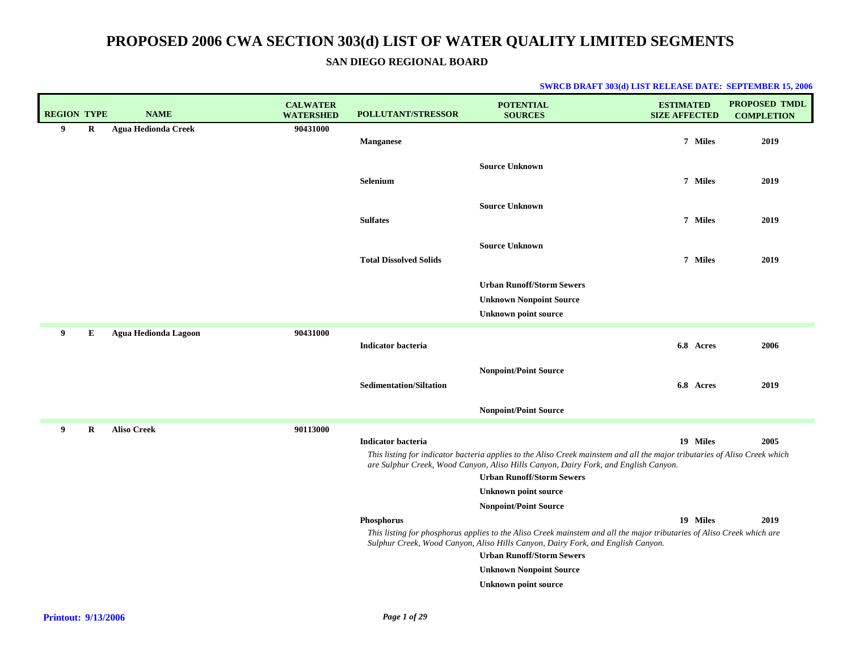### **SAN DIEGO REGIONAL BOARD**

| <b>REGION TYPE</b> |   | <b>NAME</b>                | <b>CALWATER</b><br><b>WATERSHED</b> | <b>POLLUTANT/STRESSOR</b>      | <b>POTENTIAL</b><br><b>SOURCES</b>                                                                                                                                                                                | <b>ESTIMATED</b><br><b>SIZE AFFECTED</b> | PROPOSED TMDL<br><b>COMPLETION</b> |
|--------------------|---|----------------------------|-------------------------------------|--------------------------------|-------------------------------------------------------------------------------------------------------------------------------------------------------------------------------------------------------------------|------------------------------------------|------------------------------------|
| 9                  | R | <b>Agua Hedionda Creek</b> | 90431000                            |                                |                                                                                                                                                                                                                   |                                          |                                    |
|                    |   |                            |                                     | <b>Manganese</b>               |                                                                                                                                                                                                                   | 7 Miles                                  | 2019                               |
|                    |   |                            |                                     |                                | <b>Source Unknown</b>                                                                                                                                                                                             |                                          |                                    |
|                    |   |                            |                                     | Selenium                       |                                                                                                                                                                                                                   | 7 Miles                                  | 2019                               |
|                    |   |                            |                                     |                                | <b>Source Unknown</b>                                                                                                                                                                                             |                                          |                                    |
|                    |   |                            |                                     | <b>Sulfates</b>                |                                                                                                                                                                                                                   | 7 Miles                                  | 2019                               |
|                    |   |                            |                                     |                                | <b>Source Unknown</b>                                                                                                                                                                                             |                                          |                                    |
|                    |   |                            |                                     | <b>Total Dissolved Solids</b>  |                                                                                                                                                                                                                   | 7 Miles                                  | 2019                               |
|                    |   |                            |                                     |                                |                                                                                                                                                                                                                   |                                          |                                    |
|                    |   |                            |                                     |                                | <b>Urban Runoff/Storm Sewers</b><br><b>Unknown Nonpoint Source</b>                                                                                                                                                |                                          |                                    |
|                    |   |                            |                                     |                                | <b>Unknown point source</b>                                                                                                                                                                                       |                                          |                                    |
| 9                  | E | Agua Hedionda Lagoon       | 90431000                            |                                |                                                                                                                                                                                                                   |                                          |                                    |
|                    |   |                            |                                     | <b>Indicator bacteria</b>      |                                                                                                                                                                                                                   | 6.8 Acres                                | 2006                               |
|                    |   |                            |                                     |                                | <b>Nonpoint/Point Source</b>                                                                                                                                                                                      |                                          |                                    |
|                    |   |                            |                                     | <b>Sedimentation/Siltation</b> |                                                                                                                                                                                                                   | 6.8 Acres                                | 2019                               |
|                    |   |                            |                                     |                                |                                                                                                                                                                                                                   |                                          |                                    |
|                    |   |                            |                                     |                                | <b>Nonpoint/Point Source</b>                                                                                                                                                                                      |                                          |                                    |
| 9                  | R | <b>Aliso Creek</b>         | 90113000                            | <b>Indicator bacteria</b>      |                                                                                                                                                                                                                   | 19 Miles                                 | 2005                               |
|                    |   |                            |                                     |                                | This listing for indicator bacteria applies to the Aliso Creek mainstem and all the major tributaries of Aliso Creek which<br>are Sulphur Creek, Wood Canyon, Aliso Hills Canyon, Dairy Fork, and English Canyon. |                                          |                                    |
|                    |   |                            |                                     |                                | <b>Urban Runoff/Storm Sewers</b>                                                                                                                                                                                  |                                          |                                    |
|                    |   |                            |                                     |                                | <b>Unknown point source</b>                                                                                                                                                                                       |                                          |                                    |
|                    |   |                            |                                     |                                | <b>Nonpoint/Point Source</b>                                                                                                                                                                                      | 19 Miles                                 |                                    |
|                    |   |                            |                                     | Phosphorus                     | This listing for phosphorus applies to the Aliso Creek mainstem and all the major tributaries of Aliso Creek which are                                                                                            |                                          | 2019                               |
|                    |   |                            |                                     |                                | Sulphur Creek, Wood Canyon, Aliso Hills Canyon, Dairy Fork, and English Canyon.                                                                                                                                   |                                          |                                    |
|                    |   |                            |                                     |                                | <b>Urban Runoff/Storm Sewers</b><br><b>Unknown Nonpoint Source</b>                                                                                                                                                |                                          |                                    |
|                    |   |                            |                                     |                                | <b>Unknown point source</b>                                                                                                                                                                                       |                                          |                                    |
|                    |   |                            |                                     |                                |                                                                                                                                                                                                                   |                                          |                                    |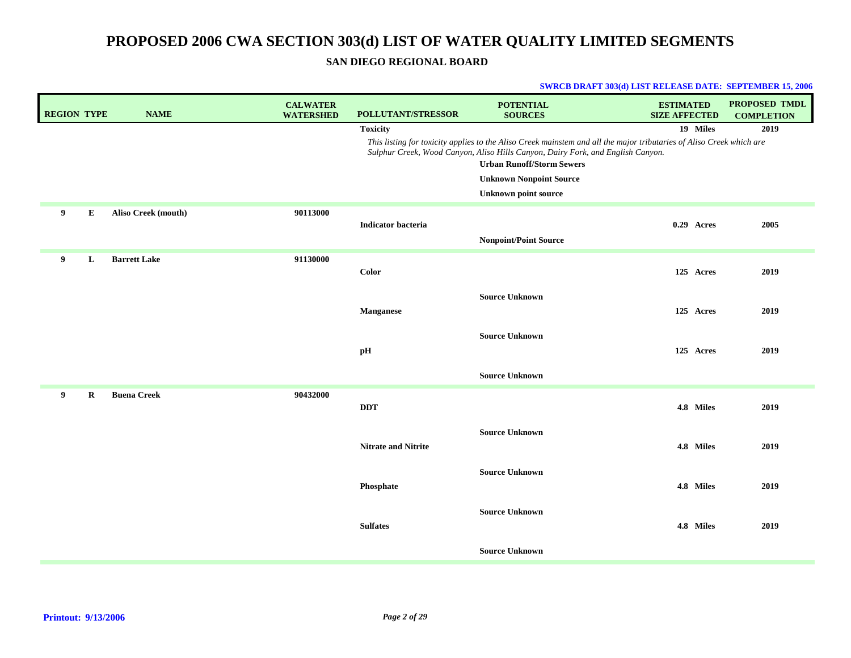### **SAN DIEGO REGIONAL BOARD**

| <b>REGION TYPE</b> |   | <b>NAME</b>         | <b>CALWATER</b><br><b>WATERSHED</b> | POLLUTANT/STRESSOR         | <b>POTENTIAL</b><br><b>SOURCES</b>                                                                                                                                                                                                                                                                           | <b>ESTIMATED</b><br><b>SIZE AFFECTED</b> | PROPOSED TMDL<br><b>COMPLETION</b> |
|--------------------|---|---------------------|-------------------------------------|----------------------------|--------------------------------------------------------------------------------------------------------------------------------------------------------------------------------------------------------------------------------------------------------------------------------------------------------------|------------------------------------------|------------------------------------|
|                    |   |                     |                                     | <b>Toxicity</b>            | This listing for toxicity applies to the Aliso Creek mainstem and all the major tributaries of Aliso Creek which are<br>Sulphur Creek, Wood Canyon, Aliso Hills Canyon, Dairy Fork, and English Canyon.<br><b>Urban Runoff/Storm Sewers</b><br><b>Unknown Nonpoint Source</b><br><b>Unknown point source</b> | 19 Miles                                 | 2019                               |
| 9                  | E | Aliso Creek (mouth) | 90113000                            | <b>Indicator bacteria</b>  | <b>Nonpoint/Point Source</b>                                                                                                                                                                                                                                                                                 | 0.29 Acres                               | 2005                               |
| 9                  | L | <b>Barrett Lake</b> | 91130000                            | Color                      |                                                                                                                                                                                                                                                                                                              | 125 Acres                                | 2019                               |
|                    |   |                     |                                     | <b>Manganese</b>           | <b>Source Unknown</b><br><b>Source Unknown</b>                                                                                                                                                                                                                                                               | 125 Acres                                | 2019                               |
|                    |   |                     |                                     | $\mathbf{p} \mathbf{H}$    | <b>Source Unknown</b>                                                                                                                                                                                                                                                                                        | 125 Acres                                | 2019                               |
| 9                  | R | <b>Buena Creek</b>  | 90432000                            | <b>DDT</b>                 |                                                                                                                                                                                                                                                                                                              | 4.8 Miles                                | 2019                               |
|                    |   |                     |                                     | <b>Nitrate and Nitrite</b> | <b>Source Unknown</b>                                                                                                                                                                                                                                                                                        | 4.8 Miles                                | 2019                               |
|                    |   |                     |                                     | Phosphate                  | <b>Source Unknown</b><br><b>Source Unknown</b>                                                                                                                                                                                                                                                               | 4.8 Miles                                | 2019                               |
|                    |   |                     |                                     | <b>Sulfates</b>            | <b>Source Unknown</b>                                                                                                                                                                                                                                                                                        | 4.8 Miles                                | 2019                               |
|                    |   |                     |                                     |                            |                                                                                                                                                                                                                                                                                                              |                                          |                                    |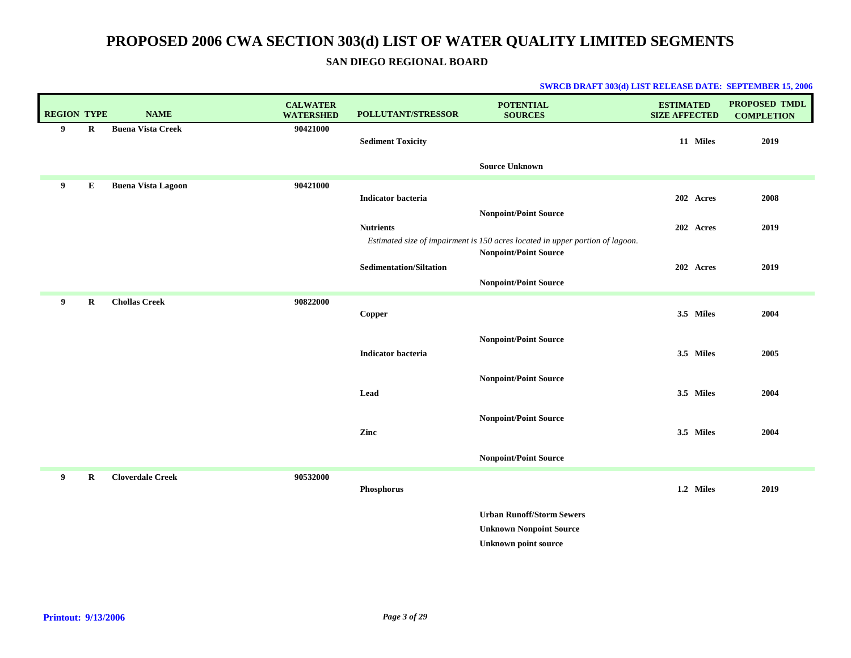**SAN DIEGO REGIONAL BOARD**

| <b>REGION TYPE</b> |             | <b>NAME</b>               | <b>CALWATER</b><br><b>WATERSHED</b> | POLLUTANT/STRESSOR             | <b>POTENTIAL</b><br><b>SOURCES</b>                                                                            | <b>ESTIMATED</b><br><b>SIZE AFFECTED</b> | <b>PROPOSED TMDL</b><br><b>COMPLETION</b> |
|--------------------|-------------|---------------------------|-------------------------------------|--------------------------------|---------------------------------------------------------------------------------------------------------------|------------------------------------------|-------------------------------------------|
| 9                  | $\bf R$     | <b>Buena Vista Creek</b>  | 90421000                            | <b>Sediment Toxicity</b>       |                                                                                                               | 11 Miles                                 | 2019                                      |
|                    |             |                           |                                     |                                | <b>Source Unknown</b>                                                                                         |                                          |                                           |
| 9                  | ${\bf E}$   | <b>Buena Vista Lagoon</b> | 90421000                            | <b>Indicator bacteria</b>      |                                                                                                               | 202 Acres                                | 2008                                      |
|                    |             |                           |                                     | <b>Nutrients</b>               | <b>Nonpoint/Point Source</b>                                                                                  | 202 Acres                                | 2019                                      |
|                    |             |                           |                                     |                                | Estimated size of impairment is 150 acres located in upper portion of lagoon.<br><b>Nonpoint/Point Source</b> |                                          |                                           |
|                    |             |                           |                                     | <b>Sedimentation/Siltation</b> | <b>Nonpoint/Point Source</b>                                                                                  | 202 Acres                                | 2019                                      |
| 9                  | $\mathbf R$ | <b>Chollas Creek</b>      | 90822000                            | Copper                         |                                                                                                               | 3.5 Miles                                | 2004                                      |
|                    |             |                           |                                     |                                | <b>Nonpoint/Point Source</b>                                                                                  |                                          |                                           |
|                    |             |                           |                                     | Indicator bacteria             |                                                                                                               | 3.5 Miles                                | 2005                                      |
|                    |             |                           |                                     | Lead                           | <b>Nonpoint/Point Source</b>                                                                                  | 3.5 Miles                                | 2004                                      |
|                    |             |                           |                                     |                                | Nonpoint/Point Source                                                                                         |                                          |                                           |
|                    |             |                           |                                     | Zinc                           |                                                                                                               | 3.5 Miles                                | 2004                                      |
|                    |             |                           |                                     |                                | <b>Nonpoint/Point Source</b>                                                                                  |                                          |                                           |
| 9                  | $\bf R$     | <b>Cloverdale Creek</b>   | 90532000                            | Phosphorus                     |                                                                                                               | 1.2 Miles                                | 2019                                      |
|                    |             |                           |                                     |                                | <b>Urban Runoff/Storm Sewers</b>                                                                              |                                          |                                           |
|                    |             |                           |                                     |                                | <b>Unknown Nonpoint Source</b><br><b>Unknown point source</b>                                                 |                                          |                                           |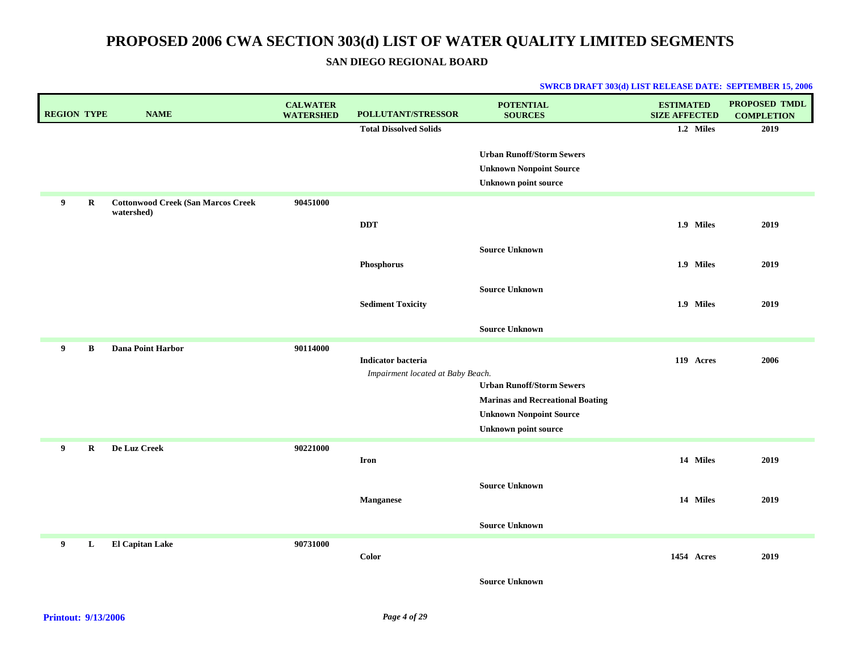**SAN DIEGO REGIONAL BOARD**

| <b>REGION TYPE</b> |         | <b>NAME</b>                                             | <b>CALWATER</b><br><b>WATERSHED</b> | POLLUTANT/STRESSOR                | <b>POTENTIAL</b><br><b>SOURCES</b>                                                                | <b>ESTIMATED</b><br><b>SIZE AFFECTED</b> | PROPOSED TMDL<br><b>COMPLETION</b> |
|--------------------|---------|---------------------------------------------------------|-------------------------------------|-----------------------------------|---------------------------------------------------------------------------------------------------|------------------------------------------|------------------------------------|
|                    |         |                                                         |                                     | <b>Total Dissolved Solids</b>     |                                                                                                   | 1.2 Miles                                | 2019                               |
|                    |         |                                                         |                                     |                                   | <b>Urban Runoff/Storm Sewers</b><br><b>Unknown Nonpoint Source</b><br><b>Unknown point source</b> |                                          |                                    |
| 9                  | $\bf R$ | <b>Cottonwood Creek (San Marcos Creek</b><br>watershed) | 90451000                            |                                   |                                                                                                   |                                          |                                    |
|                    |         |                                                         |                                     | $\bf DDT$                         |                                                                                                   | 1.9 Miles                                | 2019                               |
|                    |         |                                                         |                                     |                                   | <b>Source Unknown</b>                                                                             |                                          |                                    |
|                    |         |                                                         |                                     | Phosphorus                        |                                                                                                   | 1.9 Miles                                | 2019                               |
|                    |         |                                                         |                                     |                                   | <b>Source Unknown</b>                                                                             |                                          |                                    |
|                    |         |                                                         |                                     | <b>Sediment Toxicity</b>          |                                                                                                   | 1.9 Miles                                | 2019                               |
|                    |         |                                                         |                                     |                                   | <b>Source Unknown</b>                                                                             |                                          |                                    |
| 9                  | B       | Dana Point Harbor                                       | 90114000                            | <b>Indicator bacteria</b>         |                                                                                                   | 119 Acres                                | 2006                               |
|                    |         |                                                         |                                     | Impairment located at Baby Beach. |                                                                                                   |                                          |                                    |
|                    |         |                                                         |                                     |                                   | <b>Urban Runoff/Storm Sewers</b>                                                                  |                                          |                                    |
|                    |         |                                                         |                                     |                                   | <b>Marinas and Recreational Boating</b><br><b>Unknown Nonpoint Source</b>                         |                                          |                                    |
|                    |         |                                                         |                                     |                                   | <b>Unknown point source</b>                                                                       |                                          |                                    |
| 9                  | $\bf R$ | De Luz Creek                                            | 90221000                            |                                   |                                                                                                   |                                          |                                    |
|                    |         |                                                         |                                     | <b>Iron</b>                       |                                                                                                   | 14 Miles                                 | 2019                               |
|                    |         |                                                         |                                     |                                   | <b>Source Unknown</b>                                                                             |                                          |                                    |
|                    |         |                                                         |                                     | Manganese                         |                                                                                                   | 14 Miles                                 | 2019                               |
|                    |         |                                                         |                                     |                                   | <b>Source Unknown</b>                                                                             |                                          |                                    |
| 9                  | L       | <b>El Capitan Lake</b>                                  | 90731000                            | <b>Color</b>                      |                                                                                                   | 1454 Acres                               | 2019                               |
|                    |         |                                                         |                                     |                                   | <b>Source Unknown</b>                                                                             |                                          |                                    |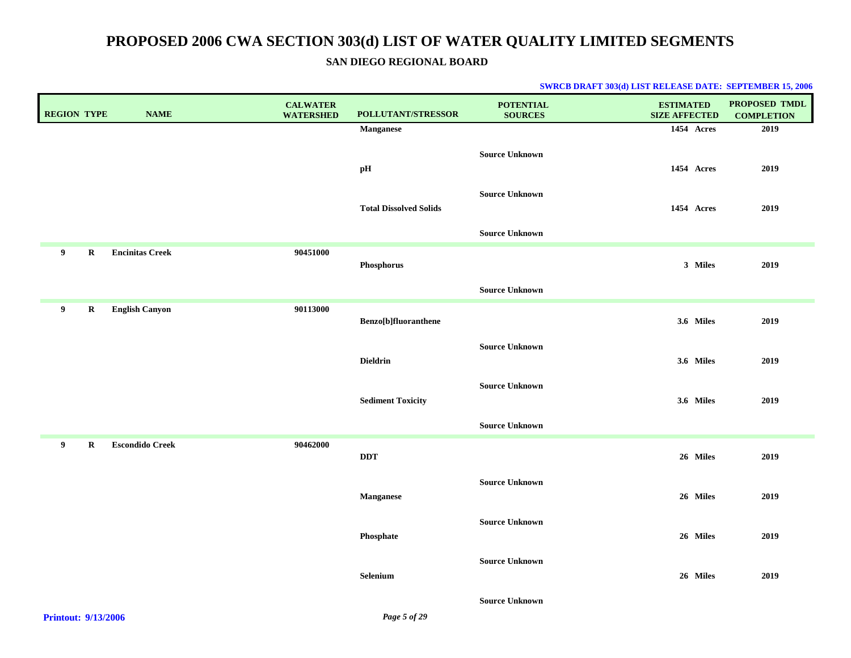### **SAN DIEGO REGIONAL BOARD**

| <b>REGION TYPE</b>            | <b>NAME</b>            | <b>CALWATER</b><br><b>WATERSHED</b> | POLLUTANT/STRESSOR            | <b>POTENTIAL</b><br><b>SOURCES</b> | <b>ESTIMATED</b><br><b>SIZE AFFECTED</b> | PROPOSED TMDL<br><b>COMPLETION</b> |
|-------------------------------|------------------------|-------------------------------------|-------------------------------|------------------------------------|------------------------------------------|------------------------------------|
|                               |                        |                                     | <b>Manganese</b>              |                                    | 1454 Acres                               | 2019                               |
|                               |                        |                                     | $\mathbf{p} \mathbf{H}$       | <b>Source Unknown</b>              | 1454 Acres                               | 2019                               |
|                               |                        |                                     | <b>Total Dissolved Solids</b> | <b>Source Unknown</b>              | 1454 Acres                               | 2019                               |
|                               |                        |                                     |                               | <b>Source Unknown</b>              |                                          |                                    |
| $\overline{9}$<br>$\mathbf R$ | <b>Encinitas Creek</b> | 90451000                            | Phosphorus                    |                                    | 3 Miles                                  | 2019                               |
|                               |                        |                                     |                               | <b>Source Unknown</b>              |                                          |                                    |
| 9<br>$\mathbf R$              | <b>English Canyon</b>  | 90113000                            | Benzo[b]fluoranthene          |                                    | 3.6 Miles                                | 2019                               |
|                               |                        |                                     | <b>Dieldrin</b>               | <b>Source Unknown</b>              | 3.6 Miles                                | 2019                               |
|                               |                        |                                     | <b>Sediment Toxicity</b>      | <b>Source Unknown</b>              | 3.6 Miles                                | 2019                               |
|                               |                        |                                     |                               | <b>Source Unknown</b>              |                                          |                                    |
| 9<br>$\mathbf R$              | <b>Escondido Creek</b> | 90462000                            | DDT                           |                                    | 26 Miles                                 | 2019                               |
|                               |                        |                                     | <b>Manganese</b>              | <b>Source Unknown</b>              | 26 Miles                                 | 2019                               |
|                               |                        |                                     | Phosphate                     | <b>Source Unknown</b>              | 26 Miles                                 | 2019                               |
|                               |                        |                                     | Selenium                      | <b>Source Unknown</b>              | 26 Miles                                 | 2019                               |
| <b>Printout: 9/13/2006</b>    |                        |                                     | Page 5 of 29                  | <b>Source Unknown</b>              |                                          |                                    |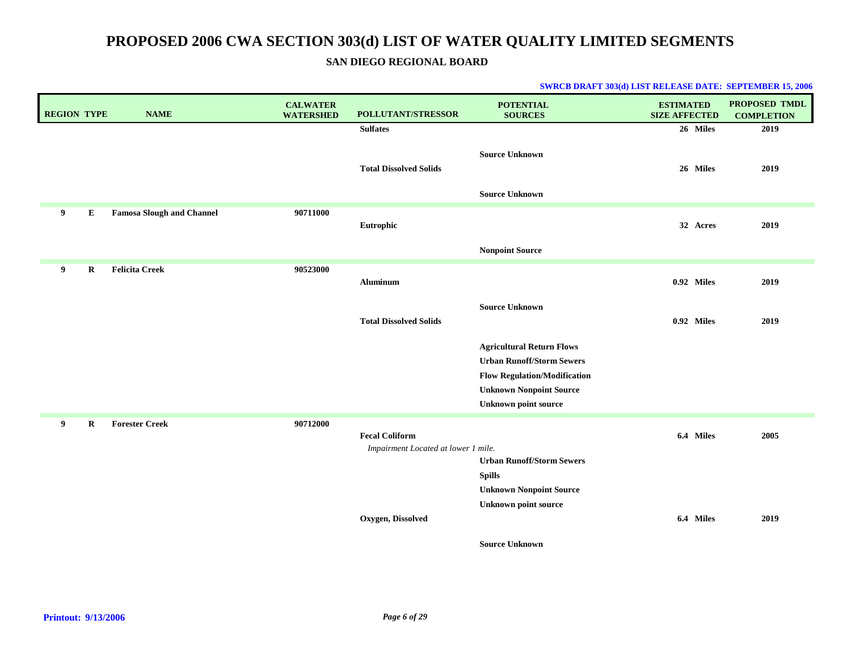**SAN DIEGO REGIONAL BOARD**

| <b>REGION TYPE</b> |         | <b>NAME</b>                      | <b>CALWATER</b><br><b>WATERSHED</b> | <b>POLLUTANT/STRESSOR</b>                                    | <b>POTENTIAL</b><br><b>SOURCES</b>                                   | <b>ESTIMATED</b><br><b>SIZE AFFECTED</b> | PROPOSED TMDL<br><b>COMPLETION</b> |
|--------------------|---------|----------------------------------|-------------------------------------|--------------------------------------------------------------|----------------------------------------------------------------------|------------------------------------------|------------------------------------|
|                    |         |                                  |                                     | <b>Sulfates</b>                                              |                                                                      | 26 Miles                                 | 2019                               |
|                    |         |                                  |                                     | <b>Total Dissolved Solids</b>                                | <b>Source Unknown</b>                                                | 26 Miles                                 | 2019                               |
|                    |         |                                  |                                     |                                                              | <b>Source Unknown</b>                                                |                                          |                                    |
| 9                  | E       | <b>Famosa Slough and Channel</b> | 90711000                            | Eutrophic                                                    |                                                                      | 32 Acres                                 | 2019                               |
|                    |         |                                  |                                     |                                                              | <b>Nonpoint Source</b>                                               |                                          |                                    |
| 9                  | R       | <b>Felicita Creek</b>            | 90523000                            | Aluminum                                                     |                                                                      | 0.92 Miles                               | 2019                               |
|                    |         |                                  |                                     | <b>Total Dissolved Solids</b>                                | <b>Source Unknown</b>                                                | 0.92 Miles                               | 2019                               |
|                    |         |                                  |                                     |                                                              | <b>Agricultural Return Flows</b><br><b>Urban Runoff/Storm Sewers</b> |                                          |                                    |
|                    |         |                                  |                                     |                                                              | <b>Flow Regulation/Modification</b>                                  |                                          |                                    |
|                    |         |                                  |                                     |                                                              | <b>Unknown Nonpoint Source</b><br><b>Unknown point source</b>        |                                          |                                    |
| 9                  | $\bf R$ | <b>Forester Creek</b>            | 90712000                            |                                                              |                                                                      |                                          |                                    |
|                    |         |                                  |                                     | <b>Fecal Coliform</b><br>Impairment Located at lower 1 mile. | <b>Urban Runoff/Storm Sewers</b>                                     | 6.4 Miles                                | 2005                               |
|                    |         |                                  |                                     |                                                              | <b>Spills</b>                                                        |                                          |                                    |
|                    |         |                                  |                                     |                                                              | <b>Unknown Nonpoint Source</b>                                       |                                          |                                    |
|                    |         |                                  |                                     | Oxygen, Dissolved                                            | <b>Unknown point source</b>                                          | 6.4 Miles                                | 2019                               |
|                    |         |                                  |                                     |                                                              | <b>Source Unknown</b>                                                |                                          |                                    |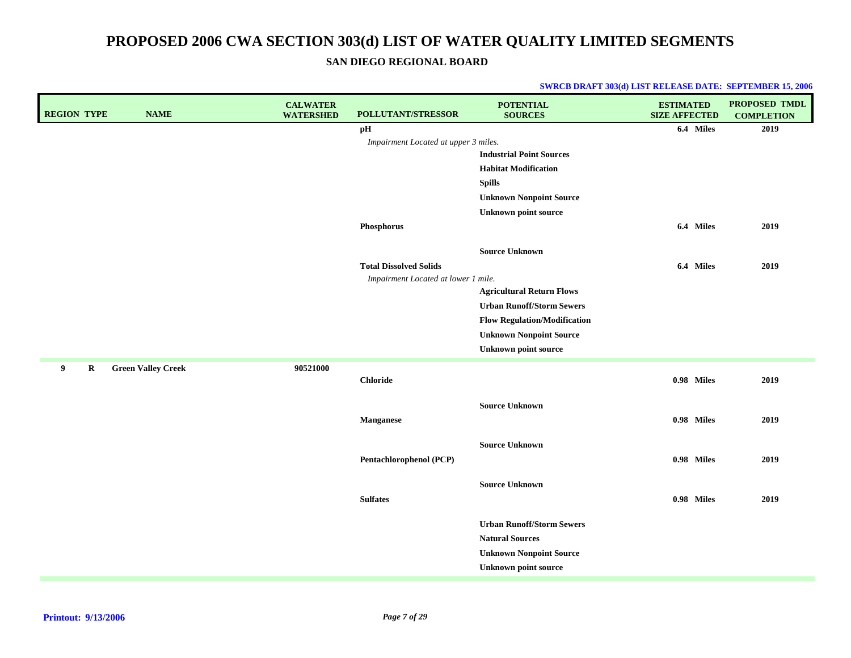**SAN DIEGO REGIONAL BOARD**

| <b>REGION TYPE</b> | <b>NAME</b>               | <b>CALWATER</b><br><b>WATERSHED</b> | POLLUTANT/STRESSOR                   | <b>POTENTIAL</b><br><b>SOURCES</b>  | <b>ESTIMATED</b><br><b>SIZE AFFECTED</b> | <b>PROPOSED TMDL</b><br><b>COMPLETION</b> |
|--------------------|---------------------------|-------------------------------------|--------------------------------------|-------------------------------------|------------------------------------------|-------------------------------------------|
|                    |                           |                                     | pH                                   |                                     | 6.4 Miles                                | 2019                                      |
|                    |                           |                                     | Impairment Located at upper 3 miles. |                                     |                                          |                                           |
|                    |                           |                                     |                                      | <b>Industrial Point Sources</b>     |                                          |                                           |
|                    |                           |                                     |                                      | <b>Habitat Modification</b>         |                                          |                                           |
|                    |                           |                                     |                                      | <b>Spills</b>                       |                                          |                                           |
|                    |                           |                                     |                                      | <b>Unknown Nonpoint Source</b>      |                                          |                                           |
|                    |                           |                                     |                                      | <b>Unknown point source</b>         |                                          |                                           |
|                    |                           |                                     | Phosphorus                           |                                     | 6.4 Miles                                | 2019                                      |
|                    |                           |                                     |                                      | <b>Source Unknown</b>               |                                          |                                           |
|                    |                           |                                     | <b>Total Dissolved Solids</b>        |                                     | 6.4 Miles                                | 2019                                      |
|                    |                           |                                     | Impairment Located at lower 1 mile.  |                                     |                                          |                                           |
|                    |                           |                                     |                                      | <b>Agricultural Return Flows</b>    |                                          |                                           |
|                    |                           |                                     |                                      | <b>Urban Runoff/Storm Sewers</b>    |                                          |                                           |
|                    |                           |                                     |                                      | <b>Flow Regulation/Modification</b> |                                          |                                           |
|                    |                           |                                     |                                      | <b>Unknown Nonpoint Source</b>      |                                          |                                           |
|                    |                           |                                     |                                      | <b>Unknown point source</b>         |                                          |                                           |
| 9<br>$\bf R$       | <b>Green Valley Creek</b> | 90521000                            | <b>Chloride</b>                      |                                     | 0.98 Miles                               | 2019                                      |
|                    |                           |                                     |                                      |                                     |                                          |                                           |
|                    |                           |                                     |                                      | <b>Source Unknown</b>               |                                          |                                           |
|                    |                           |                                     | <b>Manganese</b>                     |                                     | 0.98 Miles                               | 2019                                      |
|                    |                           |                                     |                                      |                                     |                                          |                                           |
|                    |                           |                                     |                                      | <b>Source Unknown</b>               |                                          |                                           |
|                    |                           |                                     | Pentachlorophenol (PCP)              |                                     | 0.98 Miles                               | 2019                                      |
|                    |                           |                                     |                                      | <b>Source Unknown</b>               |                                          |                                           |
|                    |                           |                                     | <b>Sulfates</b>                      |                                     | 0.98 Miles                               | 2019                                      |
|                    |                           |                                     |                                      | <b>Urban Runoff/Storm Sewers</b>    |                                          |                                           |
|                    |                           |                                     |                                      | <b>Natural Sources</b>              |                                          |                                           |
|                    |                           |                                     |                                      | <b>Unknown Nonpoint Source</b>      |                                          |                                           |
|                    |                           |                                     |                                      | <b>Unknown point source</b>         |                                          |                                           |
|                    |                           |                                     |                                      |                                     |                                          |                                           |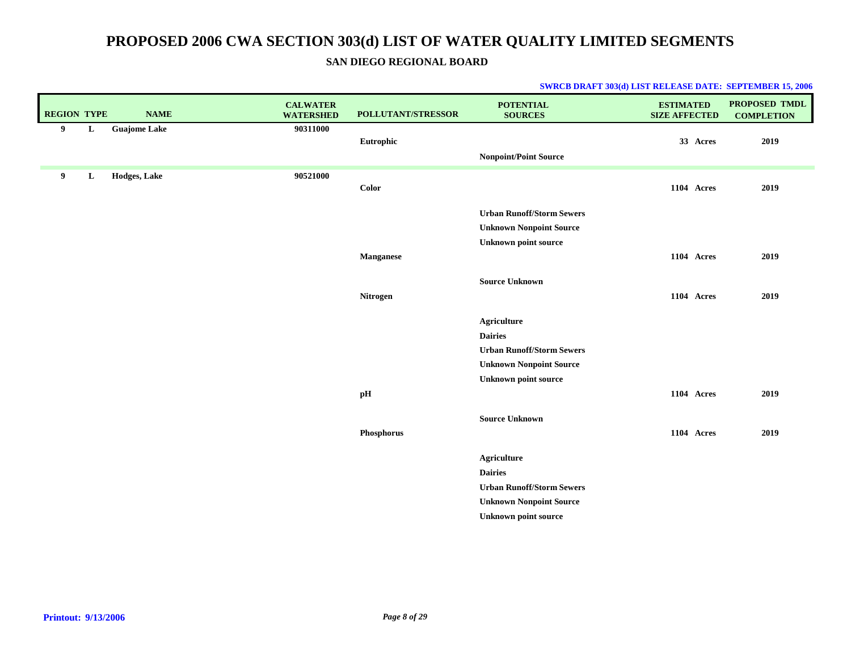### **SAN DIEGO REGIONAL BOARD**

| <b>REGION TYPE</b> |   | <b>NAME</b>         | <b>CALWATER</b><br><b>WATERSHED</b> | POLLUTANT/STRESSOR | <b>POTENTIAL</b><br><b>SOURCES</b>   | <b>ESTIMATED</b><br><b>SIZE AFFECTED</b> | <b>PROPOSED TMDL</b><br><b>COMPLETION</b> |
|--------------------|---|---------------------|-------------------------------------|--------------------|--------------------------------------|------------------------------------------|-------------------------------------------|
| 9                  | L | <b>Guajome Lake</b> | 90311000                            | Eutrophic          |                                      | 33 Acres                                 | 2019                                      |
|                    |   |                     |                                     |                    | <b>Nonpoint/Point Source</b>         |                                          |                                           |
| 9                  | L | Hodges, Lake        | 90521000                            |                    |                                      |                                          |                                           |
|                    |   |                     |                                     | Color              |                                      | <b>1104 Acres</b>                        | 2019                                      |
|                    |   |                     |                                     |                    | <b>Urban Runoff/Storm Sewers</b>     |                                          |                                           |
|                    |   |                     |                                     |                    | <b>Unknown Nonpoint Source</b>       |                                          |                                           |
|                    |   |                     |                                     |                    | <b>Unknown point source</b>          |                                          |                                           |
|                    |   |                     |                                     | <b>Manganese</b>   |                                      | 1104 Acres                               | 2019                                      |
|                    |   |                     |                                     |                    | <b>Source Unknown</b>                |                                          |                                           |
|                    |   |                     |                                     | Nitrogen           |                                      | 1104 Acres                               | 2019                                      |
|                    |   |                     |                                     |                    |                                      |                                          |                                           |
|                    |   |                     |                                     |                    | <b>Agriculture</b>                   |                                          |                                           |
|                    |   |                     |                                     |                    | <b>Dairies</b>                       |                                          |                                           |
|                    |   |                     |                                     |                    | <b>Urban Runoff/Storm Sewers</b>     |                                          |                                           |
|                    |   |                     |                                     |                    | <b>Unknown Nonpoint Source</b>       |                                          |                                           |
|                    |   |                     |                                     |                    | <b>Unknown point source</b>          |                                          |                                           |
|                    |   |                     |                                     | pН                 |                                      | 1104 Acres                               | 2019                                      |
|                    |   |                     |                                     |                    | <b>Source Unknown</b>                |                                          |                                           |
|                    |   |                     |                                     | Phosphorus         |                                      | 1104 Acres                               | 2019                                      |
|                    |   |                     |                                     |                    |                                      |                                          |                                           |
|                    |   |                     |                                     |                    | <b>Agriculture</b><br><b>Dairies</b> |                                          |                                           |
|                    |   |                     |                                     |                    | <b>Urban Runoff/Storm Sewers</b>     |                                          |                                           |
|                    |   |                     |                                     |                    | <b>Unknown Nonpoint Source</b>       |                                          |                                           |
|                    |   |                     |                                     |                    | <b>Unknown point source</b>          |                                          |                                           |
|                    |   |                     |                                     |                    |                                      |                                          |                                           |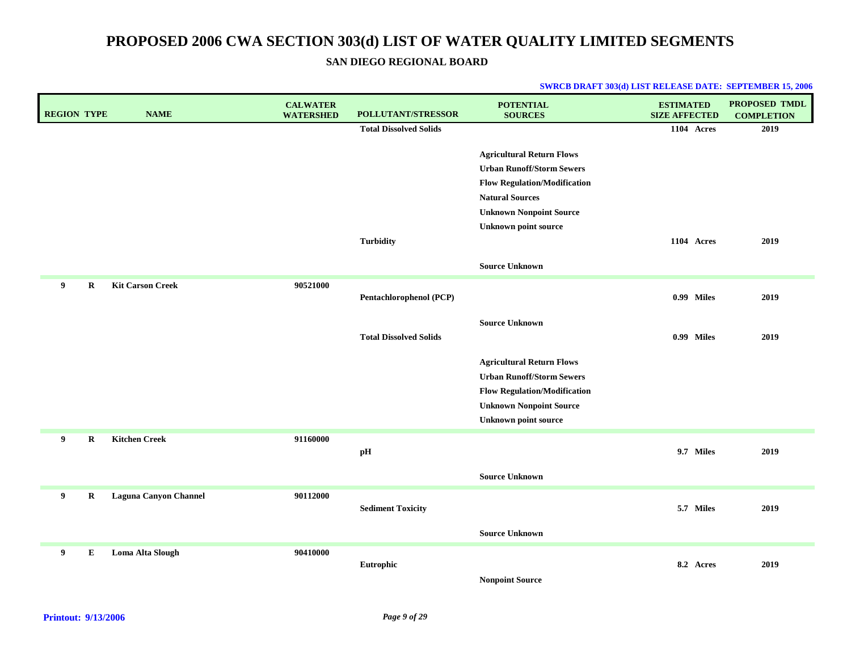**SAN DIEGO REGIONAL BOARD**

| <b>REGION TYPE</b> |             | <b>NAME</b>                  | <b>CALWATER</b><br><b>WATERSHED</b> | POLLUTANT/STRESSOR            | <b>POTENTIAL</b><br><b>SOURCES</b>  | <b>ESTIMATED</b><br><b>SIZE AFFECTED</b> | PROPOSED TMDL<br><b>COMPLETION</b> |
|--------------------|-------------|------------------------------|-------------------------------------|-------------------------------|-------------------------------------|------------------------------------------|------------------------------------|
|                    |             |                              |                                     | <b>Total Dissolved Solids</b> |                                     | 1104 Acres                               | 2019                               |
|                    |             |                              |                                     |                               | <b>Agricultural Return Flows</b>    |                                          |                                    |
|                    |             |                              |                                     |                               | <b>Urban Runoff/Storm Sewers</b>    |                                          |                                    |
|                    |             |                              |                                     |                               | <b>Flow Regulation/Modification</b> |                                          |                                    |
|                    |             |                              |                                     |                               | <b>Natural Sources</b>              |                                          |                                    |
|                    |             |                              |                                     |                               | <b>Unknown Nonpoint Source</b>      |                                          |                                    |
|                    |             |                              |                                     |                               | <b>Unknown point source</b>         |                                          |                                    |
|                    |             |                              |                                     | <b>Turbidity</b>              |                                     | <b>1104 Acres</b>                        | 2019                               |
|                    |             |                              |                                     |                               | <b>Source Unknown</b>               |                                          |                                    |
| 9                  | $\bf R$     | <b>Kit Carson Creek</b>      | 90521000                            |                               |                                     |                                          |                                    |
|                    |             |                              |                                     | Pentachlorophenol (PCP)       |                                     | 0.99 Miles                               | 2019                               |
|                    |             |                              |                                     |                               | <b>Source Unknown</b>               |                                          |                                    |
|                    |             |                              |                                     | <b>Total Dissolved Solids</b> |                                     | 0.99 Miles                               | 2019                               |
|                    |             |                              |                                     |                               | <b>Agricultural Return Flows</b>    |                                          |                                    |
|                    |             |                              |                                     |                               | <b>Urban Runoff/Storm Sewers</b>    |                                          |                                    |
|                    |             |                              |                                     |                               | <b>Flow Regulation/Modification</b> |                                          |                                    |
|                    |             |                              |                                     |                               | <b>Unknown Nonpoint Source</b>      |                                          |                                    |
|                    |             |                              |                                     |                               | <b>Unknown point source</b>         |                                          |                                    |
| 9                  | $\mathbf R$ | <b>Kitchen Creek</b>         | 91160000                            |                               |                                     |                                          |                                    |
|                    |             |                              |                                     | pН                            |                                     | 9.7 Miles                                | 2019                               |
|                    |             |                              |                                     |                               | <b>Source Unknown</b>               |                                          |                                    |
| 9                  | $\mathbf R$ | <b>Laguna Canyon Channel</b> | 90112000                            |                               |                                     |                                          |                                    |
|                    |             |                              |                                     | <b>Sediment Toxicity</b>      |                                     | 5.7 Miles                                | 2019                               |
|                    |             |                              |                                     |                               | <b>Source Unknown</b>               |                                          |                                    |
| 9                  | E           | Loma Alta Slough             | 90410000                            |                               |                                     |                                          |                                    |
|                    |             |                              |                                     | Eutrophic                     |                                     | 8.2 Acres                                | 2019                               |
|                    |             |                              |                                     |                               | <b>Nonpoint Source</b>              |                                          |                                    |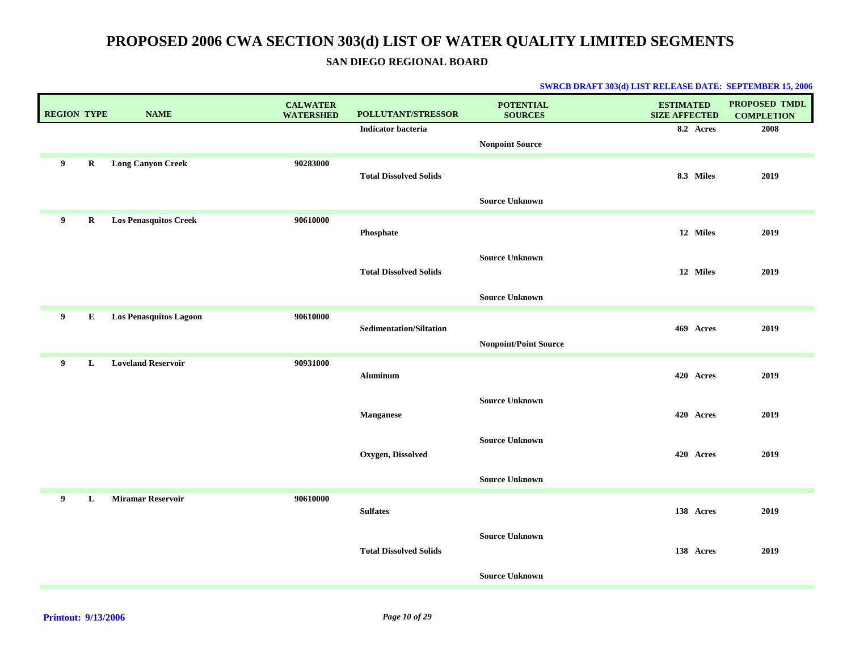**SAN DIEGO REGIONAL BOARD**

| <b>REGION TYPE</b> |         | <b>NAME</b>                   | <b>CALWATER</b><br><b>WATERSHED</b> | POLLUTANT/STRESSOR             | <b>POTENTIAL</b><br><b>SOURCES</b> | <b>ESTIMATED</b><br><b>SIZE AFFECTED</b> | <b>PROPOSED TMDL</b><br><b>COMPLETION</b> |
|--------------------|---------|-------------------------------|-------------------------------------|--------------------------------|------------------------------------|------------------------------------------|-------------------------------------------|
|                    |         |                               |                                     | <b>Indicator bacteria</b>      |                                    | 8.2 Acres                                | 2008                                      |
|                    |         |                               |                                     |                                | <b>Nonpoint Source</b>             |                                          |                                           |
| 9                  | R       | <b>Long Canyon Creek</b>      | 90283000                            | <b>Total Dissolved Solids</b>  |                                    | 8.3 Miles                                | 2019                                      |
|                    |         |                               |                                     |                                | <b>Source Unknown</b>              |                                          |                                           |
| 9                  | $\bf R$ | <b>Los Penasquitos Creek</b>  | 90610000                            | Phosphate                      |                                    | 12 Miles                                 | 2019                                      |
|                    |         |                               |                                     | <b>Total Dissolved Solids</b>  | <b>Source Unknown</b>              | 12 Miles                                 | 2019                                      |
|                    |         |                               |                                     |                                | <b>Source Unknown</b>              |                                          |                                           |
| 9                  | E       | <b>Los Penasquitos Lagoon</b> | 90610000                            | <b>Sedimentation/Siltation</b> | <b>Nonpoint/Point Source</b>       | 469 Acres                                | 2019                                      |
| 9                  | L       | <b>Loveland Reservoir</b>     | 90931000                            |                                |                                    |                                          |                                           |
|                    |         |                               |                                     | <b>Aluminum</b>                |                                    | 420 Acres                                | 2019                                      |
|                    |         |                               |                                     | <b>Manganese</b>               | <b>Source Unknown</b>              | 420 Acres                                | 2019                                      |
|                    |         |                               |                                     | Oxygen, Dissolved              | <b>Source Unknown</b>              | 420 Acres                                | 2019                                      |
|                    |         |                               |                                     |                                | <b>Source Unknown</b>              |                                          |                                           |
| 9                  | L       | <b>Miramar Reservoir</b>      | 90610000                            | <b>Sulfates</b>                |                                    | 138 Acres                                | 2019                                      |
|                    |         |                               |                                     | <b>Total Dissolved Solids</b>  | <b>Source Unknown</b>              | 138 Acres                                | 2019                                      |
|                    |         |                               |                                     |                                | <b>Source Unknown</b>              |                                          |                                           |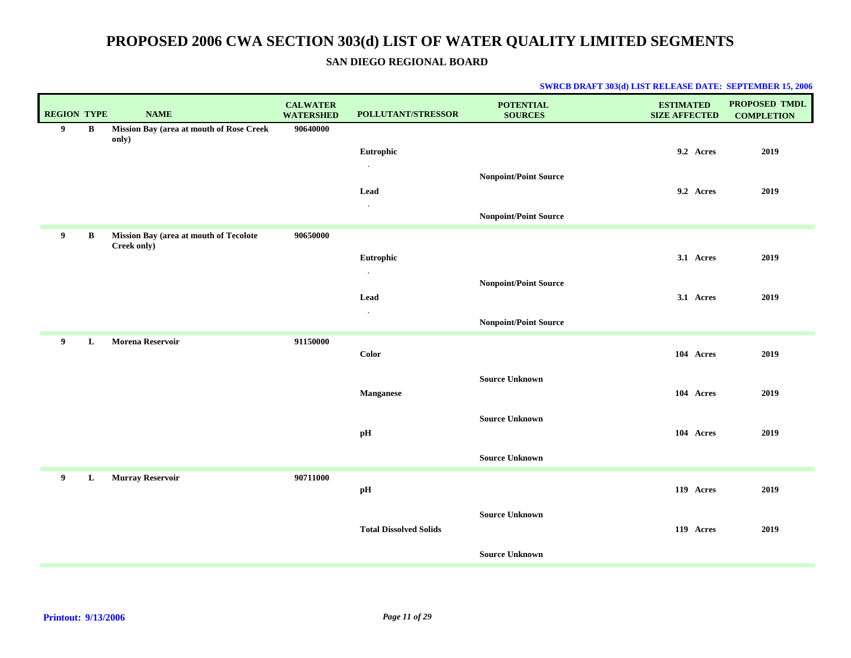### **SAN DIEGO REGIONAL BOARD**

| <b>REGION TYPE</b> |              | <b>NAME</b>                                       | <b>CALWATER</b><br><b>WATERSHED</b> | POLLUTANT/STRESSOR            | <b>POTENTIAL</b><br><b>SOURCES</b> | <b>ESTIMATED</b><br><b>SIZE AFFECTED</b> | PROPOSED TMDL<br><b>COMPLETION</b> |
|--------------------|--------------|---------------------------------------------------|-------------------------------------|-------------------------------|------------------------------------|------------------------------------------|------------------------------------|
| 9                  | B            | Mission Bay (area at mouth of Rose Creek<br>only) | 90640000                            |                               |                                    |                                          |                                    |
|                    |              |                                                   |                                     | Eutrophic                     |                                    | 9.2 Acres                                | 2019                               |
|                    |              |                                                   |                                     |                               | <b>Nonpoint/Point Source</b>       |                                          |                                    |
|                    |              |                                                   |                                     | Lead                          |                                    | 9.2 Acres                                | 2019                               |
|                    |              |                                                   |                                     | $\cdot$                       | Nonpoint/Point Source              |                                          |                                    |
| 9                  | $\, {\bf B}$ | Mission Bay (area at mouth of Tecolote            | 90650000                            |                               |                                    |                                          |                                    |
|                    |              | Creek only)                                       |                                     |                               |                                    |                                          |                                    |
|                    |              |                                                   |                                     | Eutrophic<br>$\bullet$        |                                    | 3.1 Acres                                | 2019                               |
|                    |              |                                                   |                                     |                               | Nonpoint/Point Source              |                                          |                                    |
|                    |              |                                                   |                                     | Lead<br>$\cdot$               |                                    | 3.1 Acres                                | 2019                               |
|                    |              |                                                   |                                     |                               | <b>Nonpoint/Point Source</b>       |                                          |                                    |
| 9                  | L            | <b>Morena Reservoir</b>                           | 91150000                            |                               |                                    |                                          |                                    |
|                    |              |                                                   |                                     | Color                         |                                    | 104 Acres                                | 2019                               |
|                    |              |                                                   |                                     |                               | <b>Source Unknown</b>              |                                          |                                    |
|                    |              |                                                   |                                     | <b>Manganese</b>              |                                    | 104 Acres                                | 2019                               |
|                    |              |                                                   |                                     |                               | <b>Source Unknown</b>              |                                          |                                    |
|                    |              |                                                   |                                     | $\mathbf{p} \mathbf{H}$       |                                    | 104 Acres                                | 2019                               |
|                    |              |                                                   |                                     |                               | <b>Source Unknown</b>              |                                          |                                    |
| 9                  | L            | <b>Murray Reservoir</b>                           | 90711000                            |                               |                                    |                                          |                                    |
|                    |              |                                                   |                                     | $\mathbf{p} \mathbf{H}$       |                                    | 119 Acres                                | 2019                               |
|                    |              |                                                   |                                     |                               | <b>Source Unknown</b>              |                                          |                                    |
|                    |              |                                                   |                                     | <b>Total Dissolved Solids</b> |                                    | 119 Acres                                | 2019                               |
|                    |              |                                                   |                                     |                               | <b>Source Unknown</b>              |                                          |                                    |
|                    |              |                                                   |                                     |                               |                                    |                                          |                                    |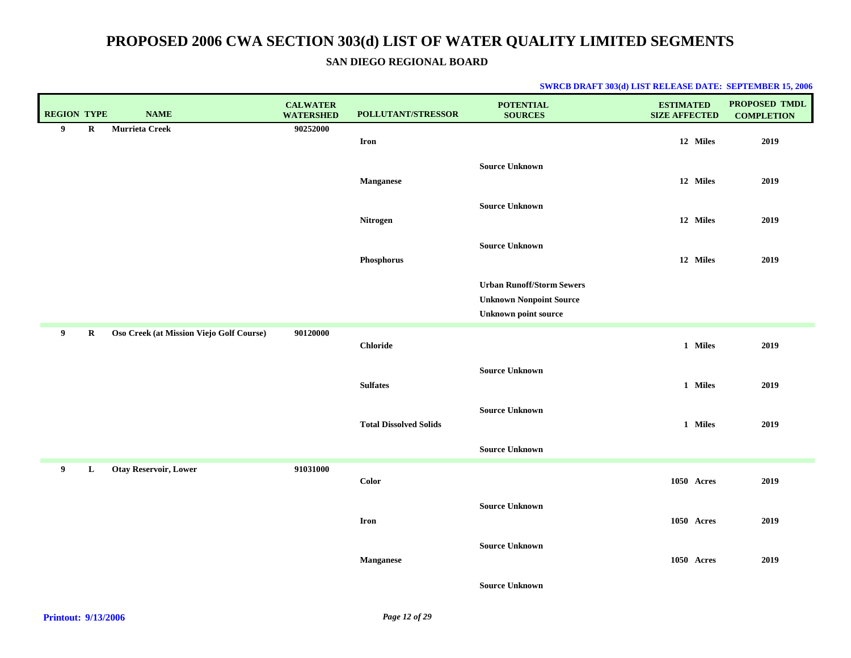### **SAN DIEGO REGIONAL BOARD**

| 90252000<br>9<br>$\bf R$<br>Murrieta Creek<br>12 Miles<br><b>Iron</b><br><b>Source Unknown</b><br>12 Miles<br><b>Manganese</b><br><b>Source Unknown</b><br>12 Miles<br>Nitrogen<br><b>Source Unknown</b> | 2019<br>2019<br>2019<br>2019 |
|----------------------------------------------------------------------------------------------------------------------------------------------------------------------------------------------------------|------------------------------|
|                                                                                                                                                                                                          |                              |
|                                                                                                                                                                                                          |                              |
|                                                                                                                                                                                                          |                              |
|                                                                                                                                                                                                          |                              |
|                                                                                                                                                                                                          |                              |
|                                                                                                                                                                                                          |                              |
|                                                                                                                                                                                                          |                              |
| Phosphorus<br>12 Miles                                                                                                                                                                                   |                              |
|                                                                                                                                                                                                          |                              |
| <b>Urban Runoff/Storm Sewers</b><br><b>Unknown Nonpoint Source</b>                                                                                                                                       |                              |
| <b>Unknown point source</b>                                                                                                                                                                              |                              |
| 90120000<br>9<br>$\bf R$<br>Oso Creek (at Mission Viejo Golf Course)                                                                                                                                     |                              |
| 1 Miles<br><b>Chloride</b>                                                                                                                                                                               | 2019                         |
| <b>Source Unknown</b>                                                                                                                                                                                    |                              |
| <b>Sulfates</b><br>1 Miles                                                                                                                                                                               | 2019                         |
| <b>Source Unknown</b>                                                                                                                                                                                    |                              |
| <b>Total Dissolved Solids</b><br>1 Miles                                                                                                                                                                 | 2019                         |
|                                                                                                                                                                                                          |                              |
| <b>Source Unknown</b>                                                                                                                                                                                    |                              |
| <b>Otay Reservoir, Lower</b><br>91031000<br>9<br>L<br><b>Color</b><br>1050 Acres                                                                                                                         | 2019                         |
|                                                                                                                                                                                                          |                              |
| <b>Source Unknown</b><br><b>Iron</b><br>1050 Acres                                                                                                                                                       | 2019                         |
|                                                                                                                                                                                                          |                              |
| <b>Source Unknown</b>                                                                                                                                                                                    |                              |
| <b>Manganese</b><br>1050 Acres                                                                                                                                                                           | 2019                         |
| <b>Source Unknown</b>                                                                                                                                                                                    |                              |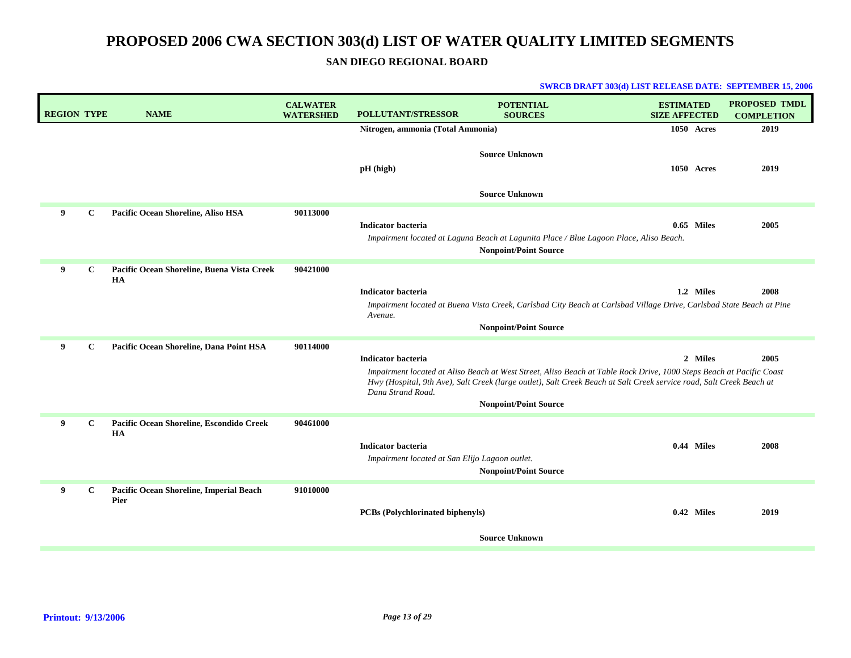**SAN DIEGO REGIONAL BOARD**

|  | <b>SWRCB DRAFT 303(d) LIST RELEASE DATE: SEPTEMBER 15, 2006</b> |  |
|--|-----------------------------------------------------------------|--|
|--|-----------------------------------------------------------------|--|

| <b>REGION TYPE</b> | <b>NAME</b>                                           | <b>CALWATER</b><br><b>WATERSHED</b> | <b>POLLUTANT/STRESSOR</b>                                                   | <b>POTENTIAL</b><br><b>SOURCES</b>                                                                                                                                                                                                           | <b>ESTIMATED</b><br><b>SIZE AFFECTED</b> | <b>PROPOSED TMDL</b><br><b>COMPLETION</b> |
|--------------------|-------------------------------------------------------|-------------------------------------|-----------------------------------------------------------------------------|----------------------------------------------------------------------------------------------------------------------------------------------------------------------------------------------------------------------------------------------|------------------------------------------|-------------------------------------------|
|                    |                                                       |                                     | Nitrogen, ammonia (Total Ammonia)                                           |                                                                                                                                                                                                                                              | 1050 Acres                               | 2019                                      |
|                    |                                                       |                                     | $pH$ (high)                                                                 | <b>Source Unknown</b>                                                                                                                                                                                                                        | 1050 Acres                               | 2019                                      |
|                    |                                                       |                                     |                                                                             | <b>Source Unknown</b>                                                                                                                                                                                                                        |                                          |                                           |
| 9<br>$\mathbf{C}$  | Pacific Ocean Shoreline, Aliso HSA                    | 90113000                            | <b>Indicator bacteria</b>                                                   | Impairment located at Laguna Beach at Lagunita Place / Blue Lagoon Place, Aliso Beach.<br><b>Nonpoint/Point Source</b>                                                                                                                       | 0.65 Miles                               | 2005                                      |
| 9<br>$\mathbf{C}$  | Pacific Ocean Shoreline, Buena Vista Creek            | 90421000                            |                                                                             |                                                                                                                                                                                                                                              |                                          |                                           |
|                    | HA                                                    |                                     | <b>Indicator bacteria</b>                                                   |                                                                                                                                                                                                                                              | 1.2 Miles                                | 2008                                      |
|                    |                                                       |                                     | Avenue.                                                                     | Impairment located at Buena Vista Creek, Carlsbad City Beach at Carlsbad Village Drive, Carlsbad State Beach at Pine<br><b>Nonpoint/Point Source</b>                                                                                         |                                          |                                           |
|                    |                                                       |                                     |                                                                             |                                                                                                                                                                                                                                              |                                          |                                           |
| 9<br>$\mathbf c$   | Pacific Ocean Shoreline, Dana Point HSA               | 90114000                            | <b>Indicator bacteria</b>                                                   |                                                                                                                                                                                                                                              | 2 Miles                                  | 2005                                      |
|                    |                                                       |                                     | Dana Strand Road.                                                           | Impairment located at Aliso Beach at West Street, Aliso Beach at Table Rock Drive, 1000 Steps Beach at Pacific Coast<br>Hwy (Hospital, 9th Ave), Salt Creek (large outlet), Salt Creek Beach at Salt Creek service road, Salt Creek Beach at |                                          |                                           |
|                    |                                                       |                                     |                                                                             | <b>Nonpoint/Point Source</b>                                                                                                                                                                                                                 |                                          |                                           |
| 9<br>$\mathbf{C}$  | Pacific Ocean Shoreline, Escondido Creek<br><b>HA</b> | 90461000                            | <b>Indicator bacteria</b><br>Impairment located at San Elijo Lagoon outlet. | <b>Nonpoint/Point Source</b>                                                                                                                                                                                                                 | 0.44 Miles                               | 2008                                      |
| 9<br>C             | Pacific Ocean Shoreline, Imperial Beach<br>Pier       | 91010000                            | <b>PCBs</b> (Polychlorinated biphenyls)                                     |                                                                                                                                                                                                                                              | 0.42 Miles                               | 2019                                      |
|                    |                                                       |                                     |                                                                             | <b>Source Unknown</b>                                                                                                                                                                                                                        |                                          |                                           |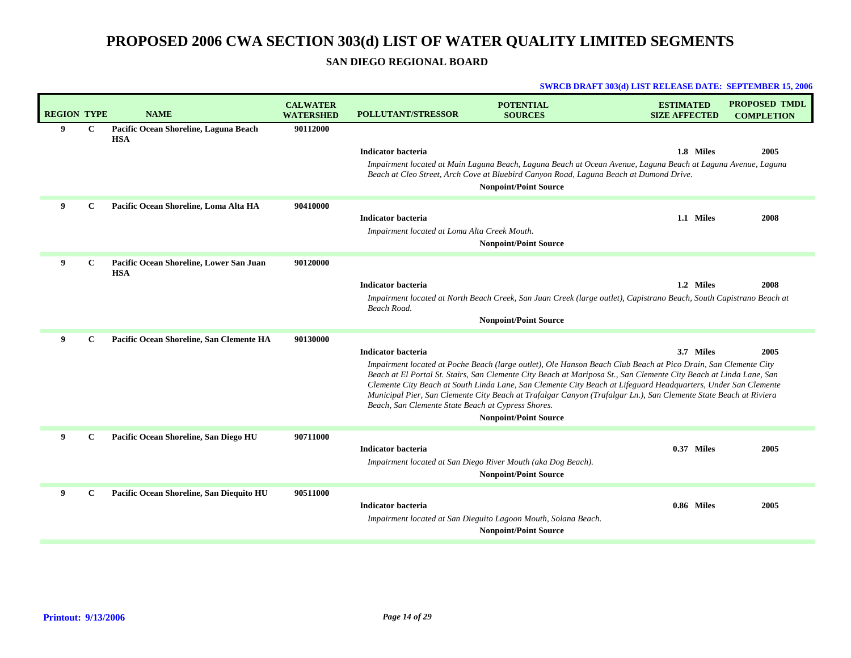### **SAN DIEGO REGIONAL BOARD**

|                    |              |                                                       |                                     |                                                                                 |                                                                                                                                                                                                                                                                                                                                                                                                                                                                                                            | <b>SWRCB DRAFT 303(d) LIST RELEASE DATE: SEPTEMBER 15, 2006</b> |                                    |
|--------------------|--------------|-------------------------------------------------------|-------------------------------------|---------------------------------------------------------------------------------|------------------------------------------------------------------------------------------------------------------------------------------------------------------------------------------------------------------------------------------------------------------------------------------------------------------------------------------------------------------------------------------------------------------------------------------------------------------------------------------------------------|-----------------------------------------------------------------|------------------------------------|
| <b>REGION TYPE</b> |              | <b>NAME</b>                                           | <b>CALWATER</b><br><b>WATERSHED</b> | <b>POLLUTANT/STRESSOR</b>                                                       | <b>POTENTIAL</b><br><b>SOURCES</b>                                                                                                                                                                                                                                                                                                                                                                                                                                                                         | <b>ESTIMATED</b><br><b>SIZE AFFECTED</b>                        | PROPOSED TMDL<br><b>COMPLETION</b> |
| 9                  | $\mathbf c$  | Pacific Ocean Shoreline, Laguna Beach<br><b>HSA</b>   | 90112000                            | <b>Indicator bacteria</b>                                                       | Impairment located at Main Laguna Beach, Laguna Beach at Ocean Avenue, Laguna Beach at Laguna Avenue, Laguna                                                                                                                                                                                                                                                                                                                                                                                               | 1.8 Miles                                                       | 2005                               |
|                    |              |                                                       |                                     |                                                                                 | Beach at Cleo Street, Arch Cove at Bluebird Canyon Road, Laguna Beach at Dumond Drive.<br><b>Nonpoint/Point Source</b>                                                                                                                                                                                                                                                                                                                                                                                     |                                                                 |                                    |
| 9                  | $\mathbf c$  | Pacific Ocean Shoreline, Loma Alta HA                 | 90410000                            | <b>Indicator bacteria</b><br>Impairment located at Loma Alta Creek Mouth.       | <b>Nonpoint/Point Source</b>                                                                                                                                                                                                                                                                                                                                                                                                                                                                               | 1.1 Miles                                                       | 2008                               |
| 9                  | C            | Pacific Ocean Shoreline, Lower San Juan<br><b>HSA</b> | 90120000                            | <b>Indicator bacteria</b><br>Beach Road.                                        | Impairment located at North Beach Creek, San Juan Creek (large outlet), Capistrano Beach, South Capistrano Beach at<br><b>Nonpoint/Point Source</b>                                                                                                                                                                                                                                                                                                                                                        | 1.2 Miles                                                       | 2008                               |
| $\mathbf{Q}$       | $\mathbf{C}$ | Pacific Ocean Shoreline, San Clemente HA              | 90130000                            | <b>Indicator bacteria</b><br>Beach, San Clemente State Beach at Cypress Shores. | Impairment located at Poche Beach (large outlet), Ole Hanson Beach Club Beach at Pico Drain, San Clemente City<br>Beach at El Portal St. Stairs, San Clemente City Beach at Mariposa St., San Clemente City Beach at Linda Lane, San<br>Clemente City Beach at South Linda Lane, San Clemente City Beach at Lifeguard Headquarters, Under San Clemente<br>Municipal Pier, San Clemente City Beach at Trafalgar Canyon (Trafalgar Ln.), San Clemente State Beach at Riviera<br><b>Nonpoint/Point Source</b> | 3.7 Miles                                                       | 2005                               |
| 9                  | C            | Pacific Ocean Shoreline, San Diego HU                 | 90711000                            | <b>Indicator bacteria</b>                                                       | Impairment located at San Diego River Mouth (aka Dog Beach).<br><b>Nonpoint/Point Source</b>                                                                                                                                                                                                                                                                                                                                                                                                               | 0.37 Miles                                                      | 2005                               |
| 9                  | $\mathbf{C}$ | Pacific Ocean Shoreline, San Diequito HU              | 90511000                            | <b>Indicator bacteria</b>                                                       | Impairment located at San Dieguito Lagoon Mouth, Solana Beach.<br><b>Nonpoint/Point Source</b>                                                                                                                                                                                                                                                                                                                                                                                                             | 0.86 Miles                                                      | 2005                               |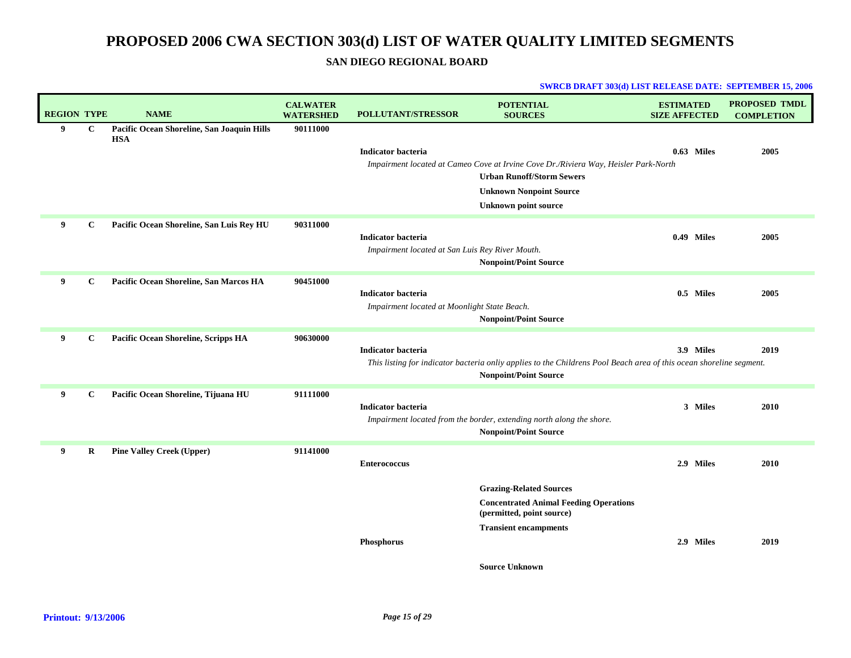### **SAN DIEGO REGIONAL BOARD**

#### **SWRCB DRAFT 303(d) LIST RELEASE DATE: SEPTEMBER 15, 2006**

| <b>REGION TYPE</b> |              | <b>NAME</b>                                              | <b>CALWATER</b><br><b>WATERSHED</b> | <b>POLLUTANT/STRESSOR</b>                                                 | <b>POTENTIAL</b><br><b>SOURCES</b>                                                                                                                  | <b>ESTIMATED</b><br><b>SIZE AFFECTED</b> | <b>PROPOSED TMDL</b><br><b>COMPLETION</b> |
|--------------------|--------------|----------------------------------------------------------|-------------------------------------|---------------------------------------------------------------------------|-----------------------------------------------------------------------------------------------------------------------------------------------------|------------------------------------------|-------------------------------------------|
| 9                  | $\mathbf C$  | Pacific Ocean Shoreline, San Joaquin Hills<br><b>HSA</b> | 90111000                            |                                                                           |                                                                                                                                                     |                                          |                                           |
|                    |              |                                                          |                                     | <b>Indicator bacteria</b>                                                 |                                                                                                                                                     | 0.63 Miles                               | 2005                                      |
|                    |              |                                                          |                                     |                                                                           | Impairment located at Cameo Cove at Irvine Cove Dr./Riviera Way, Heisler Park-North                                                                 |                                          |                                           |
|                    |              |                                                          |                                     |                                                                           | <b>Urban Runoff/Storm Sewers</b>                                                                                                                    |                                          |                                           |
|                    |              |                                                          |                                     |                                                                           | <b>Unknown Nonpoint Source</b><br><b>Unknown point source</b>                                                                                       |                                          |                                           |
| 9                  |              |                                                          | 90311000                            |                                                                           |                                                                                                                                                     |                                          |                                           |
|                    | C            | Pacific Ocean Shoreline, San Luis Rey HU                 |                                     | <b>Indicator bacteria</b>                                                 |                                                                                                                                                     | 0.49 Miles                               | 2005                                      |
|                    |              |                                                          |                                     | Impairment located at San Luis Rey River Mouth.                           |                                                                                                                                                     |                                          |                                           |
|                    |              |                                                          |                                     |                                                                           | <b>Nonpoint/Point Source</b>                                                                                                                        |                                          |                                           |
| 9                  | C            | Pacific Ocean Shoreline, San Marcos HA                   | 90451000                            |                                                                           |                                                                                                                                                     |                                          |                                           |
|                    |              |                                                          |                                     | <b>Indicator bacteria</b><br>Impairment located at Moonlight State Beach. |                                                                                                                                                     | 0.5 Miles                                | 2005                                      |
|                    |              |                                                          |                                     |                                                                           | <b>Nonpoint/Point Source</b>                                                                                                                        |                                          |                                           |
| 9                  | $\mathbf C$  | Pacific Ocean Shoreline, Scripps HA                      | 90630000                            |                                                                           |                                                                                                                                                     |                                          |                                           |
|                    |              |                                                          |                                     | <b>Indicator bacteria</b>                                                 |                                                                                                                                                     | 3.9 Miles                                | 2019                                      |
|                    |              |                                                          |                                     |                                                                           | This listing for indicator bacteria onliy applies to the Childrens Pool Beach area of this ocean shoreline segment.<br><b>Nonpoint/Point Source</b> |                                          |                                           |
|                    |              |                                                          |                                     |                                                                           |                                                                                                                                                     |                                          |                                           |
| 9                  | $\mathbf{C}$ | Pacific Ocean Shoreline, Tijuana HU                      | 91111000                            | <b>Indicator bacteria</b>                                                 |                                                                                                                                                     | 3 Miles                                  | 2010                                      |
|                    |              |                                                          |                                     |                                                                           | Impairment located from the border, extending north along the shore.                                                                                |                                          |                                           |
|                    |              |                                                          |                                     |                                                                           | <b>Nonpoint/Point Source</b>                                                                                                                        |                                          |                                           |
| 9                  | $\bf R$      | <b>Pine Valley Creek (Upper)</b>                         | 91141000                            |                                                                           |                                                                                                                                                     |                                          |                                           |
|                    |              |                                                          |                                     | <b>Enterococcus</b>                                                       |                                                                                                                                                     | 2.9 Miles                                | 2010                                      |
|                    |              |                                                          |                                     |                                                                           | <b>Grazing-Related Sources</b>                                                                                                                      |                                          |                                           |
|                    |              |                                                          |                                     |                                                                           | <b>Concentrated Animal Feeding Operations</b><br>(permitted, point source)                                                                          |                                          |                                           |
|                    |              |                                                          |                                     |                                                                           | <b>Transient encampments</b>                                                                                                                        |                                          |                                           |
|                    |              |                                                          |                                     | Phosphorus                                                                |                                                                                                                                                     | 2.9 Miles                                | 2019                                      |
|                    |              |                                                          |                                     |                                                                           | $\alpha$ , $\alpha$ , $\alpha$                                                                                                                      |                                          |                                           |

**Source Unknown**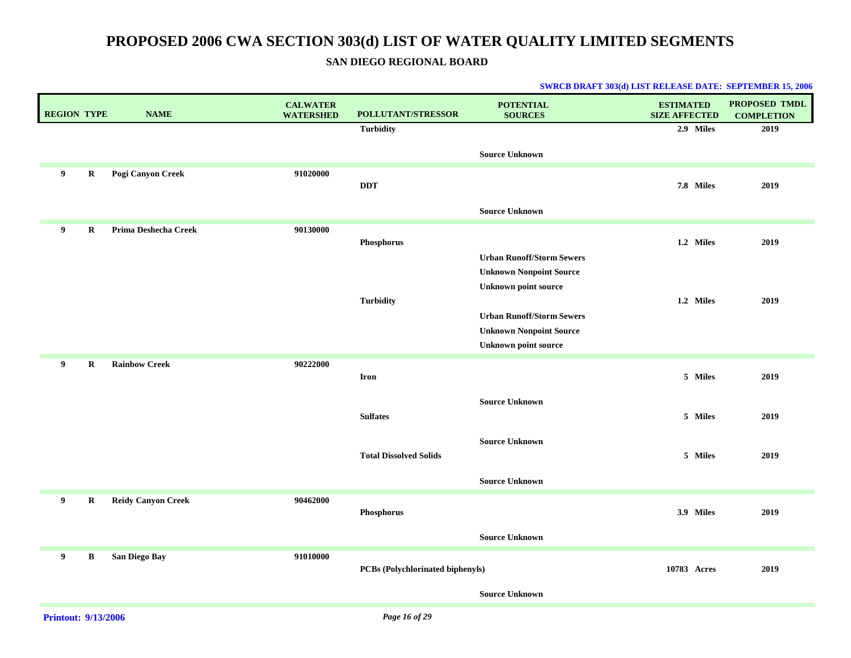### **SAN DIEGO REGIONAL BOARD**

| <b>REGION TYPE</b> |             | <b>NAME</b>               | <b>CALWATER</b><br><b>WATERSHED</b> | POLLUTANT/STRESSOR                      | <b>POTENTIAL</b><br><b>SOURCES</b>                                 | <b>ESTIMATED</b><br><b>SIZE AFFECTED</b> | PROPOSED TMDL<br><b>COMPLETION</b> |
|--------------------|-------------|---------------------------|-------------------------------------|-----------------------------------------|--------------------------------------------------------------------|------------------------------------------|------------------------------------|
|                    |             |                           |                                     | <b>Turbidity</b>                        |                                                                    | 2.9 Miles                                | 2019                               |
|                    |             |                           |                                     |                                         | <b>Source Unknown</b>                                              |                                          |                                    |
| 9                  | $\mathbf R$ | Pogi Canyon Creek         | 91020000                            | <b>DDT</b>                              |                                                                    | 7.8 Miles                                | 2019                               |
|                    |             |                           |                                     |                                         |                                                                    |                                          |                                    |
|                    |             |                           |                                     |                                         | <b>Source Unknown</b>                                              |                                          |                                    |
| 9                  | $\bf R$     | Prima Deshecha Creek      | 90130000                            |                                         |                                                                    |                                          |                                    |
|                    |             |                           |                                     | Phosphorus                              |                                                                    | 1.2 Miles                                | 2019                               |
|                    |             |                           |                                     |                                         | <b>Urban Runoff/Storm Sewers</b><br><b>Unknown Nonpoint Source</b> |                                          |                                    |
|                    |             |                           |                                     |                                         | <b>Unknown point source</b>                                        |                                          |                                    |
|                    |             |                           |                                     | <b>Turbidity</b>                        |                                                                    | 1.2 Miles                                | 2019                               |
|                    |             |                           |                                     |                                         | <b>Urban Runoff/Storm Sewers</b>                                   |                                          |                                    |
|                    |             |                           |                                     |                                         | <b>Unknown Nonpoint Source</b>                                     |                                          |                                    |
|                    |             |                           |                                     |                                         | <b>Unknown point source</b>                                        |                                          |                                    |
| 9                  | $\bf R$     | <b>Rainbow Creek</b>      | 90222000                            |                                         |                                                                    |                                          |                                    |
|                    |             |                           |                                     | <b>Iron</b>                             |                                                                    | 5 Miles                                  | 2019                               |
|                    |             |                           |                                     |                                         | <b>Source Unknown</b>                                              |                                          |                                    |
|                    |             |                           |                                     | <b>Sulfates</b>                         |                                                                    | 5 Miles                                  | 2019                               |
|                    |             |                           |                                     |                                         | <b>Source Unknown</b>                                              |                                          |                                    |
|                    |             |                           |                                     | <b>Total Dissolved Solids</b>           |                                                                    | 5 Miles                                  | 2019                               |
|                    |             |                           |                                     |                                         |                                                                    |                                          |                                    |
|                    |             |                           |                                     |                                         | <b>Source Unknown</b>                                              |                                          |                                    |
| 9                  | $\bf R$     | <b>Reidy Canyon Creek</b> | 90462000                            |                                         |                                                                    |                                          |                                    |
|                    |             |                           |                                     | Phosphorus                              |                                                                    | 3.9 Miles                                | 2019                               |
|                    |             |                           |                                     |                                         | <b>Source Unknown</b>                                              |                                          |                                    |
| 9                  | B           | San Diego Bay             | 91010000                            |                                         |                                                                    |                                          |                                    |
|                    |             |                           |                                     | <b>PCBs (Polychlorinated biphenyls)</b> |                                                                    | 10783 Acres                              | 2019                               |
|                    |             |                           |                                     |                                         | <b>Source Unknown</b>                                              |                                          |                                    |
|                    |             |                           |                                     |                                         |                                                                    |                                          |                                    |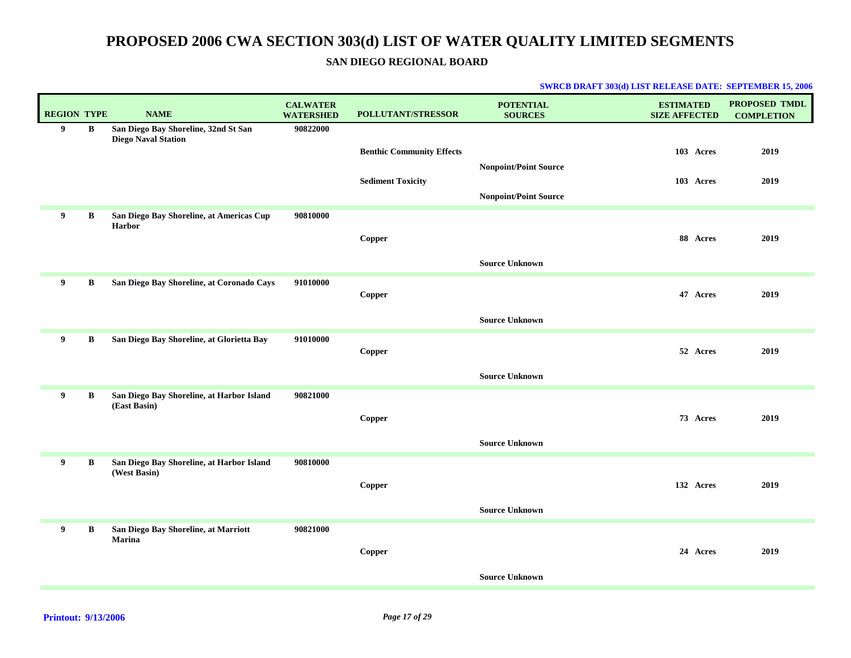**SAN DIEGO REGIONAL BOARD**

| <b>REGION TYPE</b> |              | <b>NAME</b>                                                        | <b>CALWATER</b><br><b>WATERSHED</b> | <b>POLLUTANT/STRESSOR</b>        | <b>POTENTIAL</b><br><b>SOURCES</b> | <b>ESTIMATED</b><br><b>SIZE AFFECTED</b> | PROPOSED TMDL<br><b>COMPLETION</b> |
|--------------------|--------------|--------------------------------------------------------------------|-------------------------------------|----------------------------------|------------------------------------|------------------------------------------|------------------------------------|
| 9                  | B            | San Diego Bay Shoreline, 32nd St San<br><b>Diego Naval Station</b> | 90822000                            |                                  |                                    |                                          |                                    |
|                    |              |                                                                    |                                     | <b>Benthic Community Effects</b> |                                    | 103 Acres                                | 2019                               |
|                    |              |                                                                    |                                     |                                  | <b>Nonpoint/Point Source</b>       |                                          |                                    |
|                    |              |                                                                    |                                     | <b>Sediment Toxicity</b>         |                                    | 103 Acres                                | 2019                               |
|                    |              |                                                                    |                                     |                                  | <b>Nonpoint/Point Source</b>       |                                          |                                    |
| 9                  | B            | San Diego Bay Shoreline, at Americas Cup<br>Harbor                 | 90810000                            |                                  |                                    |                                          |                                    |
|                    |              |                                                                    |                                     | Copper                           |                                    | 88 Acres                                 | 2019                               |
|                    |              |                                                                    |                                     |                                  | <b>Source Unknown</b>              |                                          |                                    |
| 9                  | $\, {\bf B}$ | San Diego Bay Shoreline, at Coronado Cays                          | 91010000                            | Copper                           |                                    | 47 Acres                                 | 2019                               |
|                    |              |                                                                    |                                     |                                  |                                    |                                          |                                    |
|                    |              |                                                                    |                                     |                                  | <b>Source Unknown</b>              |                                          |                                    |
| 9                  | B            | San Diego Bay Shoreline, at Glorietta Bay                          | 91010000                            | Copper                           |                                    | 52 Acres                                 | 2019                               |
|                    |              |                                                                    |                                     |                                  | <b>Source Unknown</b>              |                                          |                                    |
| 9                  | $\, {\bf B}$ | San Diego Bay Shoreline, at Harbor Island                          | 90821000                            |                                  |                                    |                                          |                                    |
|                    |              | (East Basin)                                                       |                                     | Copper                           |                                    | 73 Acres                                 | 2019                               |
|                    |              |                                                                    |                                     |                                  |                                    |                                          |                                    |
|                    |              |                                                                    |                                     |                                  | <b>Source Unknown</b>              |                                          |                                    |
| 9                  | B            | San Diego Bay Shoreline, at Harbor Island<br>(West Basin)          | 90810000                            |                                  |                                    |                                          |                                    |
|                    |              |                                                                    |                                     | Copper                           |                                    | 132 Acres                                | 2019                               |
|                    |              |                                                                    |                                     |                                  | <b>Source Unknown</b>              |                                          |                                    |
| 9                  | $\, {\bf B}$ | San Diego Bay Shoreline, at Marriott                               | 90821000                            |                                  |                                    |                                          |                                    |
|                    |              | <b>Marina</b>                                                      |                                     | Copper                           |                                    | 24 Acres                                 | 2019                               |
|                    |              |                                                                    |                                     |                                  | <b>Source Unknown</b>              |                                          |                                    |
|                    |              |                                                                    |                                     |                                  |                                    |                                          |                                    |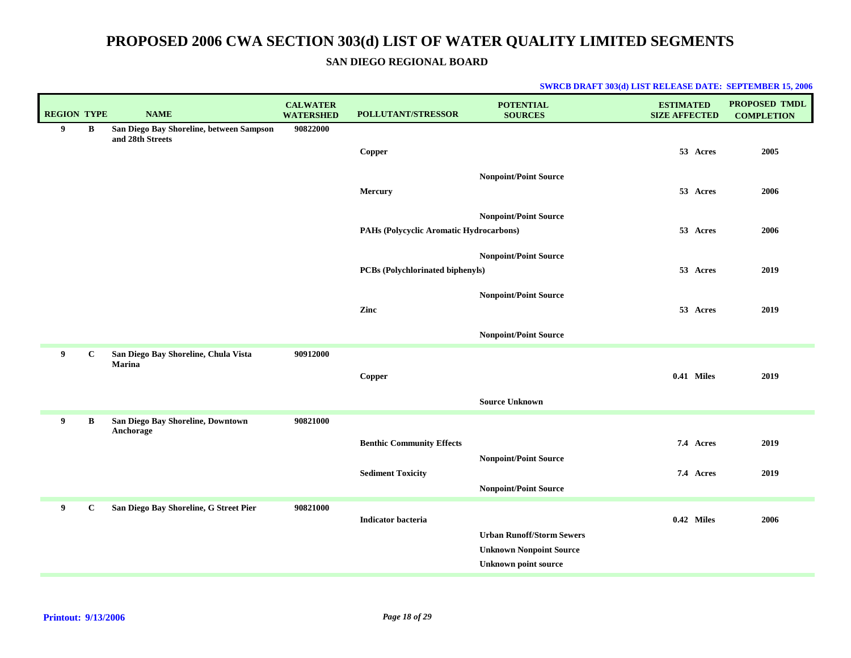### **SAN DIEGO REGIONAL BOARD**

| <b>REGION TYPE</b> |             | <b>NAME</b>                                                  | <b>CALWATER</b><br><b>WATERSHED</b> | <b>POLLUTANT/STRESSOR</b>               | <b>POTENTIAL</b><br><b>SOURCES</b> | <b>ESTIMATED</b><br><b>SIZE AFFECTED</b> | <b>PROPOSED TMDL</b><br><b>COMPLETION</b> |
|--------------------|-------------|--------------------------------------------------------------|-------------------------------------|-----------------------------------------|------------------------------------|------------------------------------------|-------------------------------------------|
| 9                  | $\bf{B}$    | San Diego Bay Shoreline, between Sampson<br>and 28th Streets | 90822000                            |                                         |                                    |                                          |                                           |
|                    |             |                                                              |                                     | Copper                                  |                                    | 53 Acres                                 | 2005                                      |
|                    |             |                                                              |                                     |                                         | <b>Nonpoint/Point Source</b>       |                                          |                                           |
|                    |             |                                                              |                                     | Mercury                                 |                                    | 53 Acres                                 | 2006                                      |
|                    |             |                                                              |                                     |                                         |                                    |                                          |                                           |
|                    |             |                                                              |                                     | PAHs (Polycyclic Aromatic Hydrocarbons) | <b>Nonpoint/Point Source</b>       | 53 Acres                                 | 2006                                      |
|                    |             |                                                              |                                     |                                         |                                    |                                          |                                           |
|                    |             |                                                              |                                     |                                         | <b>Nonpoint/Point Source</b>       |                                          |                                           |
|                    |             |                                                              |                                     | PCBs (Polychlorinated biphenyls)        |                                    | 53 Acres                                 | 2019                                      |
|                    |             |                                                              |                                     |                                         | <b>Nonpoint/Point Source</b>       |                                          |                                           |
|                    |             |                                                              |                                     | Zinc                                    |                                    | 53 Acres                                 | 2019                                      |
|                    |             |                                                              |                                     |                                         | <b>Nonpoint/Point Source</b>       |                                          |                                           |
| 9                  | $\mathbf C$ | San Diego Bay Shoreline, Chula Vista<br>Marina               | 90912000                            |                                         |                                    |                                          |                                           |
|                    |             |                                                              |                                     | Copper                                  |                                    | 0.41 Miles                               | 2019                                      |
|                    |             |                                                              |                                     |                                         |                                    |                                          |                                           |
|                    |             |                                                              |                                     |                                         | <b>Source Unknown</b>              |                                          |                                           |
| 9                  | B           | San Diego Bay Shoreline, Downtown<br>Anchorage               | 90821000                            |                                         |                                    |                                          |                                           |
|                    |             |                                                              |                                     | <b>Benthic Community Effects</b>        |                                    | 7.4 Acres                                | 2019                                      |
|                    |             |                                                              |                                     | <b>Sediment Toxicity</b>                | <b>Nonpoint/Point Source</b>       | 7.4 Acres                                | 2019                                      |
|                    |             |                                                              |                                     |                                         | <b>Nonpoint/Point Source</b>       |                                          |                                           |
| 9                  | $\mathbf c$ | San Diego Bay Shoreline, G Street Pier                       | 90821000                            |                                         |                                    |                                          |                                           |
|                    |             |                                                              |                                     | <b>Indicator</b> bacteria               |                                    | 0.42 Miles                               | 2006                                      |
|                    |             |                                                              |                                     |                                         | <b>Urban Runoff/Storm Sewers</b>   |                                          |                                           |
|                    |             |                                                              |                                     |                                         | <b>Unknown Nonpoint Source</b>     |                                          |                                           |
|                    |             |                                                              |                                     |                                         | <b>Unknown point source</b>        |                                          |                                           |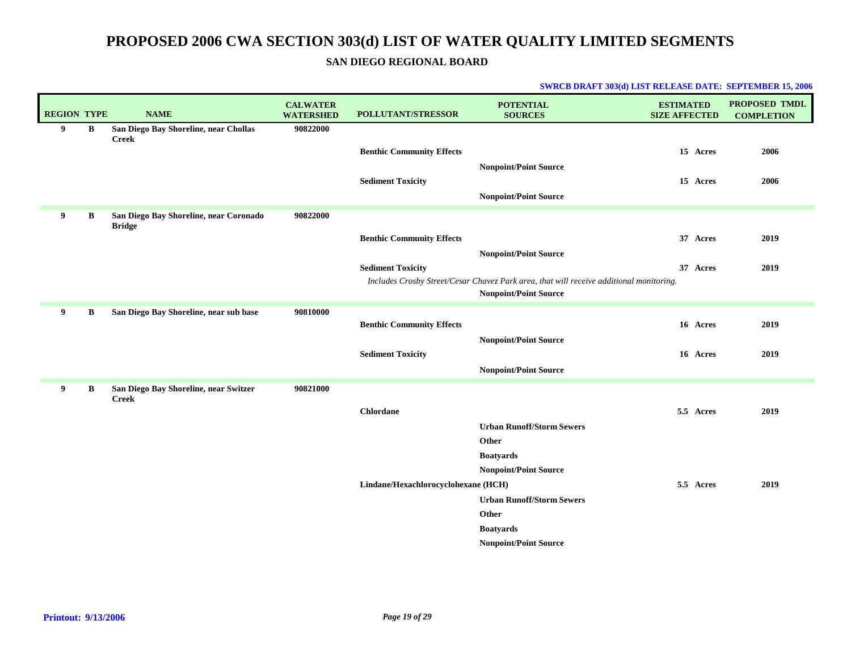**SAN DIEGO REGIONAL BOARD**

| <b>REGION TYPE</b> |   | <b>NAME</b>                                             | <b>CALWATER</b><br><b>WATERSHED</b> | POLLUTANT/STRESSOR                  | <b>POTENTIAL</b><br><b>SOURCES</b>                                                      | <b>ESTIMATED</b><br><b>SIZE AFFECTED</b> | <b>PROPOSED TMDL</b><br><b>COMPLETION</b> |
|--------------------|---|---------------------------------------------------------|-------------------------------------|-------------------------------------|-----------------------------------------------------------------------------------------|------------------------------------------|-------------------------------------------|
| 9                  | В | San Diego Bay Shoreline, near Chollas<br><b>Creek</b>   | 90822000                            |                                     |                                                                                         |                                          |                                           |
|                    |   |                                                         |                                     | <b>Benthic Community Effects</b>    |                                                                                         | 15 Acres                                 | 2006                                      |
|                    |   |                                                         |                                     |                                     | <b>Nonpoint/Point Source</b>                                                            |                                          |                                           |
|                    |   |                                                         |                                     | <b>Sediment Toxicity</b>            |                                                                                         | 15 Acres                                 | 2006                                      |
|                    |   |                                                         |                                     |                                     | <b>Nonpoint/Point Source</b>                                                            |                                          |                                           |
| 9                  | B | San Diego Bay Shoreline, near Coronado<br><b>Bridge</b> | 90822000                            |                                     |                                                                                         |                                          |                                           |
|                    |   |                                                         |                                     | <b>Benthic Community Effects</b>    |                                                                                         | 37 Acres                                 | 2019                                      |
|                    |   |                                                         |                                     |                                     | <b>Nonpoint/Point Source</b>                                                            |                                          |                                           |
|                    |   |                                                         |                                     | <b>Sediment Toxicity</b>            | Includes Crosby Street/Cesar Chavez Park area, that will receive additional monitoring. | 37 Acres                                 | 2019                                      |
|                    |   |                                                         |                                     |                                     | <b>Nonpoint/Point Source</b>                                                            |                                          |                                           |
| 9                  | B | San Diego Bay Shoreline, near sub base                  | 90810000                            |                                     |                                                                                         |                                          |                                           |
|                    |   |                                                         |                                     | <b>Benthic Community Effects</b>    |                                                                                         | 16 Acres                                 | 2019                                      |
|                    |   |                                                         |                                     | <b>Sediment Toxicity</b>            | <b>Nonpoint/Point Source</b>                                                            | 16 Acres                                 | 2019                                      |
|                    |   |                                                         |                                     |                                     | <b>Nonpoint/Point Source</b>                                                            |                                          |                                           |
| 9                  | B | San Diego Bay Shoreline, near Switzer                   | 90821000                            |                                     |                                                                                         |                                          |                                           |
|                    |   | <b>Creek</b>                                            |                                     |                                     |                                                                                         |                                          |                                           |
|                    |   |                                                         |                                     | <b>Chlordane</b>                    |                                                                                         | 5.5 Acres                                | 2019                                      |
|                    |   |                                                         |                                     |                                     | <b>Urban Runoff/Storm Sewers</b>                                                        |                                          |                                           |
|                    |   |                                                         |                                     |                                     | Other                                                                                   |                                          |                                           |
|                    |   |                                                         |                                     |                                     | <b>Boatyards</b><br><b>Nonpoint/Point Source</b>                                        |                                          |                                           |
|                    |   |                                                         |                                     | Lindane/Hexachlorocyclohexane (HCH) |                                                                                         | 5.5 Acres                                | 2019                                      |
|                    |   |                                                         |                                     |                                     | <b>Urban Runoff/Storm Sewers</b>                                                        |                                          |                                           |
|                    |   |                                                         |                                     |                                     | Other                                                                                   |                                          |                                           |
|                    |   |                                                         |                                     |                                     | <b>Boatyards</b>                                                                        |                                          |                                           |
|                    |   |                                                         |                                     |                                     | <b>Nonpoint/Point Source</b>                                                            |                                          |                                           |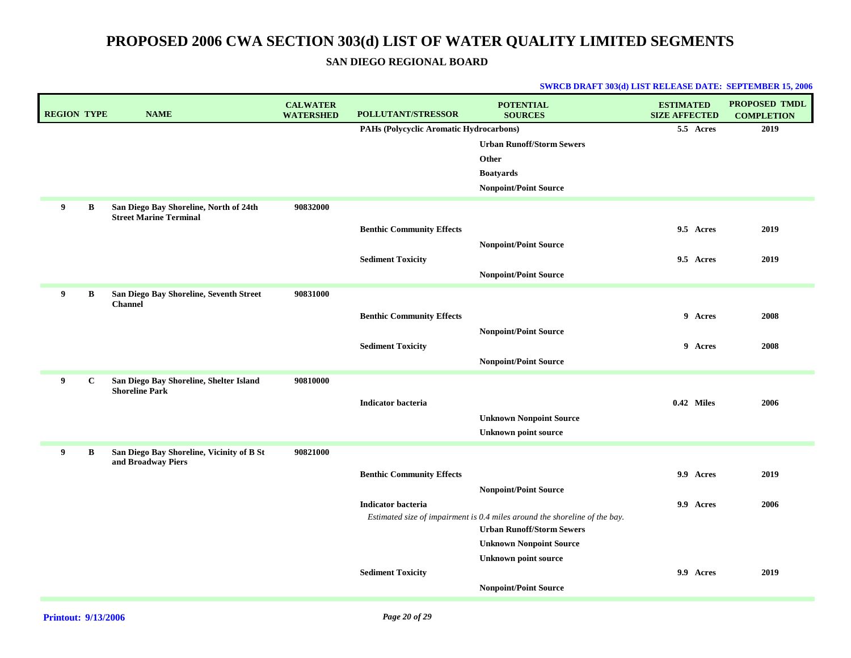**SAN DIEGO REGIONAL BOARD**

| <b>REGION TYPE</b> |             | <b>NAME</b>                                                     | <b>CALWATER</b><br><b>WATERSHED</b> | <b>POLLUTANT/STRESSOR</b>               | <b>POTENTIAL</b><br><b>SOURCES</b>                                         | <b>ESTIMATED</b><br><b>SIZE AFFECTED</b> | PROPOSED TMDL<br><b>COMPLETION</b> |
|--------------------|-------------|-----------------------------------------------------------------|-------------------------------------|-----------------------------------------|----------------------------------------------------------------------------|------------------------------------------|------------------------------------|
|                    |             |                                                                 |                                     | PAHs (Polycyclic Aromatic Hydrocarbons) |                                                                            | 5.5 Acres                                | 2019                               |
|                    |             |                                                                 |                                     |                                         | <b>Urban Runoff/Storm Sewers</b>                                           |                                          |                                    |
|                    |             |                                                                 |                                     |                                         | Other                                                                      |                                          |                                    |
|                    |             |                                                                 |                                     |                                         | <b>Boatyards</b>                                                           |                                          |                                    |
|                    |             |                                                                 |                                     |                                         | <b>Nonpoint/Point Source</b>                                               |                                          |                                    |
| 9                  | B           | San Diego Bay Shoreline, North of 24th                          | 90832000                            |                                         |                                                                            |                                          |                                    |
|                    |             | <b>Street Marine Terminal</b>                                   |                                     | <b>Benthic Community Effects</b>        |                                                                            | 9.5 Acres                                | 2019                               |
|                    |             |                                                                 |                                     |                                         | <b>Nonpoint/Point Source</b>                                               |                                          |                                    |
|                    |             |                                                                 |                                     | <b>Sediment Toxicity</b>                |                                                                            | 9.5 Acres                                | 2019                               |
|                    |             |                                                                 |                                     |                                         | <b>Nonpoint/Point Source</b>                                               |                                          |                                    |
| 9                  |             | San Diego Bay Shoreline, Seventh Street                         | 90831000                            |                                         |                                                                            |                                          |                                    |
|                    | B           | <b>Channel</b>                                                  |                                     |                                         |                                                                            |                                          |                                    |
|                    |             |                                                                 |                                     | <b>Benthic Community Effects</b>        |                                                                            | 9 Acres                                  | 2008                               |
|                    |             |                                                                 |                                     |                                         | <b>Nonpoint/Point Source</b>                                               |                                          |                                    |
|                    |             |                                                                 |                                     | <b>Sediment Toxicity</b>                |                                                                            | 9 Acres                                  | 2008                               |
|                    |             |                                                                 |                                     |                                         | <b>Nonpoint/Point Source</b>                                               |                                          |                                    |
| 9                  | $\mathbf c$ | San Diego Bay Shoreline, Shelter Island                         | 90810000                            |                                         |                                                                            |                                          |                                    |
|                    |             | <b>Shoreline Park</b>                                           |                                     | <b>Indicator bacteria</b>               |                                                                            | 0.42 Miles                               | 2006                               |
|                    |             |                                                                 |                                     |                                         | <b>Unknown Nonpoint Source</b>                                             |                                          |                                    |
|                    |             |                                                                 |                                     |                                         | <b>Unknown point source</b>                                                |                                          |                                    |
|                    |             |                                                                 |                                     |                                         |                                                                            |                                          |                                    |
| 9                  | B           | San Diego Bay Shoreline, Vicinity of B St<br>and Broadway Piers | 90821000                            |                                         |                                                                            |                                          |                                    |
|                    |             |                                                                 |                                     | <b>Benthic Community Effects</b>        |                                                                            | 9.9 Acres                                | 2019                               |
|                    |             |                                                                 |                                     |                                         | <b>Nonpoint/Point Source</b>                                               |                                          |                                    |
|                    |             |                                                                 |                                     | <b>Indicator bacteria</b>               |                                                                            | 9.9 Acres                                | 2006                               |
|                    |             |                                                                 |                                     |                                         | Estimated size of impairment is 0.4 miles around the shoreline of the bay. |                                          |                                    |
|                    |             |                                                                 |                                     |                                         | <b>Urban Runoff/Storm Sewers</b>                                           |                                          |                                    |
|                    |             |                                                                 |                                     |                                         | <b>Unknown Nonpoint Source</b>                                             |                                          |                                    |
|                    |             |                                                                 |                                     | <b>Sediment Toxicity</b>                | <b>Unknown point source</b>                                                | 9.9 Acres                                | 2019                               |
|                    |             |                                                                 |                                     |                                         | <b>Nonpoint/Point Source</b>                                               |                                          |                                    |
|                    |             |                                                                 |                                     |                                         |                                                                            |                                          |                                    |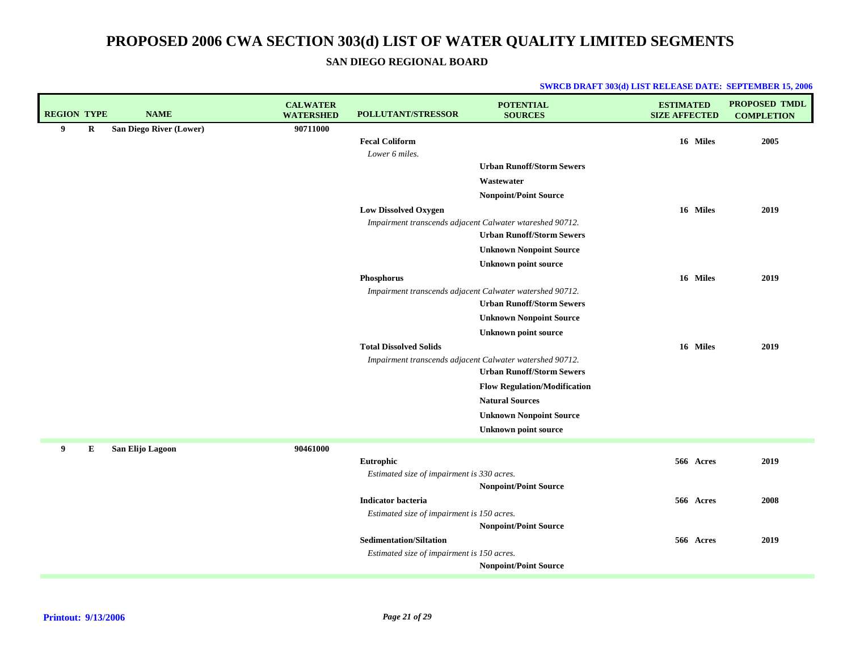**SAN DIEGO REGIONAL BOARD**

| <b>REGION TYPE</b> |   | <b>NAME</b>             | <b>CALWATER</b><br><b>WATERSHED</b> | POLLUTANT/STRESSOR                                                           | <b>POTENTIAL</b><br><b>SOURCES</b>                                                           | <b>ESTIMATED</b><br><b>SIZE AFFECTED</b> | <b>PROPOSED TMDL</b><br><b>COMPLETION</b> |
|--------------------|---|-------------------------|-------------------------------------|------------------------------------------------------------------------------|----------------------------------------------------------------------------------------------|------------------------------------------|-------------------------------------------|
| 9                  | R | San Diego River (Lower) | 90711000                            | <b>Fecal Coliform</b>                                                        |                                                                                              | 16 Miles                                 | 2005                                      |
|                    |   |                         |                                     | Lower 6 miles.                                                               |                                                                                              |                                          |                                           |
|                    |   |                         |                                     |                                                                              | <b>Urban Runoff/Storm Sewers</b>                                                             |                                          |                                           |
|                    |   |                         |                                     |                                                                              | Wastewater                                                                                   |                                          |                                           |
|                    |   |                         |                                     |                                                                              | Nonpoint/Point Source                                                                        |                                          |                                           |
|                    |   |                         |                                     | <b>Low Dissolved Oxygen</b>                                                  |                                                                                              | 16 Miles                                 | 2019                                      |
|                    |   |                         |                                     |                                                                              | Impairment transcends adjacent Calwater wtareshed 90712.<br><b>Urban Runoff/Storm Sewers</b> |                                          |                                           |
|                    |   |                         |                                     |                                                                              | <b>Unknown Nonpoint Source</b>                                                               |                                          |                                           |
|                    |   |                         |                                     |                                                                              | <b>Unknown point source</b>                                                                  |                                          |                                           |
|                    |   |                         |                                     | Phosphorus                                                                   |                                                                                              | 16 Miles                                 | 2019                                      |
|                    |   |                         |                                     |                                                                              | Impairment transcends adjacent Calwater watershed 90712.<br><b>Urban Runoff/Storm Sewers</b> |                                          |                                           |
|                    |   |                         |                                     |                                                                              | <b>Unknown Nonpoint Source</b>                                                               |                                          |                                           |
|                    |   |                         |                                     |                                                                              | <b>Unknown point source</b>                                                                  |                                          |                                           |
|                    |   |                         |                                     | <b>Total Dissolved Solids</b>                                                |                                                                                              | 16 Miles                                 | 2019                                      |
|                    |   |                         |                                     |                                                                              | Impairment transcends adjacent Calwater watershed 90712.                                     |                                          |                                           |
|                    |   |                         |                                     |                                                                              | <b>Urban Runoff/Storm Sewers</b>                                                             |                                          |                                           |
|                    |   |                         |                                     |                                                                              | <b>Flow Regulation/Modification</b>                                                          |                                          |                                           |
|                    |   |                         |                                     |                                                                              | <b>Natural Sources</b><br><b>Unknown Nonpoint Source</b>                                     |                                          |                                           |
|                    |   |                         |                                     |                                                                              | <b>Unknown point source</b>                                                                  |                                          |                                           |
|                    |   |                         |                                     |                                                                              |                                                                                              |                                          |                                           |
| 9                  | Е | San Elijo Lagoon        | 90461000                            | Eutrophic                                                                    |                                                                                              | 566 Acres                                | 2019                                      |
|                    |   |                         |                                     | Estimated size of impairment is 330 acres.                                   |                                                                                              |                                          |                                           |
|                    |   |                         |                                     |                                                                              | <b>Nonpoint/Point Source</b>                                                                 |                                          |                                           |
|                    |   |                         |                                     | Indicator bacteria                                                           |                                                                                              | 566 Acres                                | 2008                                      |
|                    |   |                         |                                     | Estimated size of impairment is 150 acres.                                   |                                                                                              |                                          |                                           |
|                    |   |                         |                                     |                                                                              | <b>Nonpoint/Point Source</b>                                                                 |                                          |                                           |
|                    |   |                         |                                     | <b>Sedimentation/Siltation</b><br>Estimated size of impairment is 150 acres. |                                                                                              | 566 Acres                                | 2019                                      |
|                    |   |                         |                                     |                                                                              | <b>Nonpoint/Point Source</b>                                                                 |                                          |                                           |
|                    |   |                         |                                     |                                                                              |                                                                                              |                                          |                                           |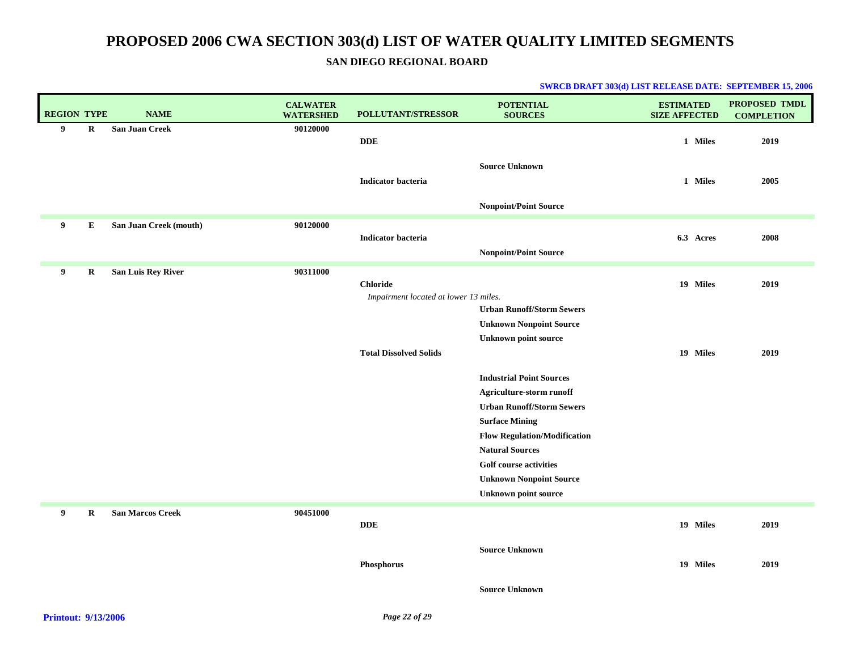### **SAN DIEGO REGIONAL BOARD**

| <b>REGION TYPE</b> |             | <b>NAME</b>               | <b>CALWATER</b><br><b>WATERSHED</b> | POLLUTANT/STRESSOR                    | <b>POTENTIAL</b><br><b>SOURCES</b>                            | <b>ESTIMATED</b><br><b>SIZE AFFECTED</b> | <b>PROPOSED TMDL</b><br><b>COMPLETION</b> |
|--------------------|-------------|---------------------------|-------------------------------------|---------------------------------------|---------------------------------------------------------------|------------------------------------------|-------------------------------------------|
| 9                  | $\mathbf R$ | <b>San Juan Creek</b>     | 90120000                            | <b>DDE</b>                            |                                                               | 1 Miles                                  | 2019                                      |
|                    |             |                           |                                     |                                       |                                                               |                                          |                                           |
|                    |             |                           |                                     |                                       | <b>Source Unknown</b>                                         |                                          |                                           |
|                    |             |                           |                                     | <b>Indicator bacteria</b>             |                                                               | 1 Miles                                  | 2005                                      |
|                    |             |                           |                                     |                                       | <b>Nonpoint/Point Source</b>                                  |                                          |                                           |
| 9                  | Е           | San Juan Creek (mouth)    | 90120000                            |                                       |                                                               |                                          |                                           |
|                    |             |                           |                                     | <b>Indicator bacteria</b>             |                                                               | 6.3 Acres                                | 2008                                      |
|                    |             |                           |                                     |                                       | <b>Nonpoint/Point Source</b>                                  |                                          |                                           |
| 9                  | R           | <b>San Luis Rey River</b> | 90311000                            | <b>Chloride</b>                       |                                                               | 19 Miles                                 | 2019                                      |
|                    |             |                           |                                     | Impairment located at lower 13 miles. |                                                               |                                          |                                           |
|                    |             |                           |                                     |                                       | <b>Urban Runoff/Storm Sewers</b>                              |                                          |                                           |
|                    |             |                           |                                     |                                       | <b>Unknown Nonpoint Source</b>                                |                                          |                                           |
|                    |             |                           |                                     |                                       | <b>Unknown point source</b>                                   |                                          |                                           |
|                    |             |                           |                                     | <b>Total Dissolved Solids</b>         |                                                               | 19 Miles                                 | 2019                                      |
|                    |             |                           |                                     |                                       | <b>Industrial Point Sources</b>                               |                                          |                                           |
|                    |             |                           |                                     |                                       | Agriculture-storm runoff                                      |                                          |                                           |
|                    |             |                           |                                     |                                       | <b>Urban Runoff/Storm Sewers</b>                              |                                          |                                           |
|                    |             |                           |                                     |                                       | <b>Surface Mining</b>                                         |                                          |                                           |
|                    |             |                           |                                     |                                       | <b>Flow Regulation/Modification</b><br><b>Natural Sources</b> |                                          |                                           |
|                    |             |                           |                                     |                                       | <b>Golf course activities</b>                                 |                                          |                                           |
|                    |             |                           |                                     |                                       | <b>Unknown Nonpoint Source</b>                                |                                          |                                           |
|                    |             |                           |                                     |                                       | <b>Unknown point source</b>                                   |                                          |                                           |
| 9                  | $\mathbf R$ | <b>San Marcos Creek</b>   | 90451000                            |                                       |                                                               |                                          |                                           |
|                    |             |                           |                                     | <b>DDE</b>                            |                                                               | 19 Miles                                 | 2019                                      |
|                    |             |                           |                                     |                                       | <b>Source Unknown</b>                                         |                                          |                                           |
|                    |             |                           |                                     | Phosphorus                            |                                                               | 19 Miles                                 | 2019                                      |
|                    |             |                           |                                     |                                       | <b>Source Unknown</b>                                         |                                          |                                           |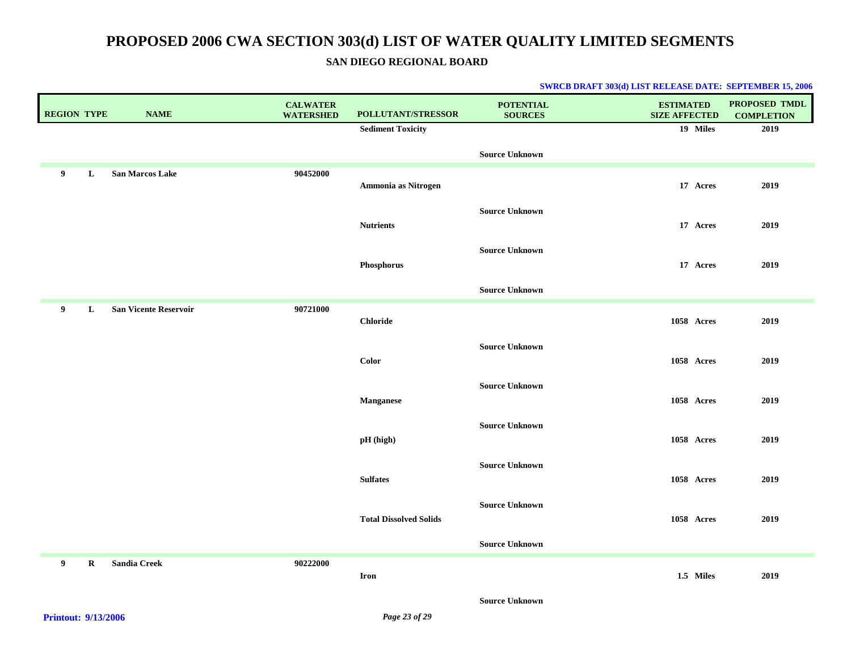**SAN DIEGO REGIONAL BOARD**

| <b>REGION TYPE</b> |         | <b>NAME</b>                  | <b>CALWATER</b><br><b>WATERSHED</b> | POLLUTANT/STRESSOR            | <b>POTENTIAL</b><br><b>SOURCES</b> | <b>ESTIMATED</b><br><b>SIZE AFFECTED</b> | PROPOSED TMDL<br><b>COMPLETION</b> |
|--------------------|---------|------------------------------|-------------------------------------|-------------------------------|------------------------------------|------------------------------------------|------------------------------------|
|                    |         |                              |                                     | <b>Sediment Toxicity</b>      |                                    | 19 Miles                                 | 2019                               |
|                    |         |                              |                                     |                               | <b>Source Unknown</b>              |                                          |                                    |
| 9                  | L       | <b>San Marcos Lake</b>       | 90452000                            |                               |                                    |                                          |                                    |
|                    |         |                              |                                     | Ammonia as Nitrogen           |                                    | 17 Acres                                 | 2019                               |
|                    |         |                              |                                     |                               | <b>Source Unknown</b>              |                                          |                                    |
|                    |         |                              |                                     | <b>Nutrients</b>              |                                    | 17 Acres                                 | 2019                               |
|                    |         |                              |                                     | Phosphorus                    | <b>Source Unknown</b>              | 17 Acres                                 | 2019                               |
|                    |         |                              |                                     |                               |                                    |                                          |                                    |
|                    |         |                              |                                     |                               | <b>Source Unknown</b>              |                                          |                                    |
| 9                  | L       | <b>San Vicente Reservoir</b> | 90721000                            | <b>Chloride</b>               |                                    | 1058 Acres                               | 2019                               |
|                    |         |                              |                                     |                               |                                    |                                          |                                    |
|                    |         |                              |                                     | Color                         | <b>Source Unknown</b>              | 1058 Acres                               | 2019                               |
|                    |         |                              |                                     |                               | <b>Source Unknown</b>              |                                          |                                    |
|                    |         |                              |                                     | <b>Manganese</b>              |                                    | 1058 Acres                               | 2019                               |
|                    |         |                              |                                     |                               | <b>Source Unknown</b>              |                                          |                                    |
|                    |         |                              |                                     | pH (high)                     |                                    | 1058 Acres                               | 2019                               |
|                    |         |                              |                                     |                               | <b>Source Unknown</b>              |                                          |                                    |
|                    |         |                              |                                     | <b>Sulfates</b>               |                                    | 1058 Acres                               | 2019                               |
|                    |         |                              |                                     |                               | <b>Source Unknown</b>              |                                          |                                    |
|                    |         |                              |                                     | <b>Total Dissolved Solids</b> |                                    | 1058 Acres                               | 2019                               |
|                    |         |                              |                                     |                               | <b>Source Unknown</b>              |                                          |                                    |
| 9                  | $\bf R$ | <b>Sandia Creek</b>          | 90222000                            |                               |                                    |                                          |                                    |
|                    |         |                              |                                     | <b>Iron</b>                   |                                    | 1.5 Miles                                | 2019                               |
|                    |         |                              |                                     |                               | <b>Source Unknown</b>              |                                          |                                    |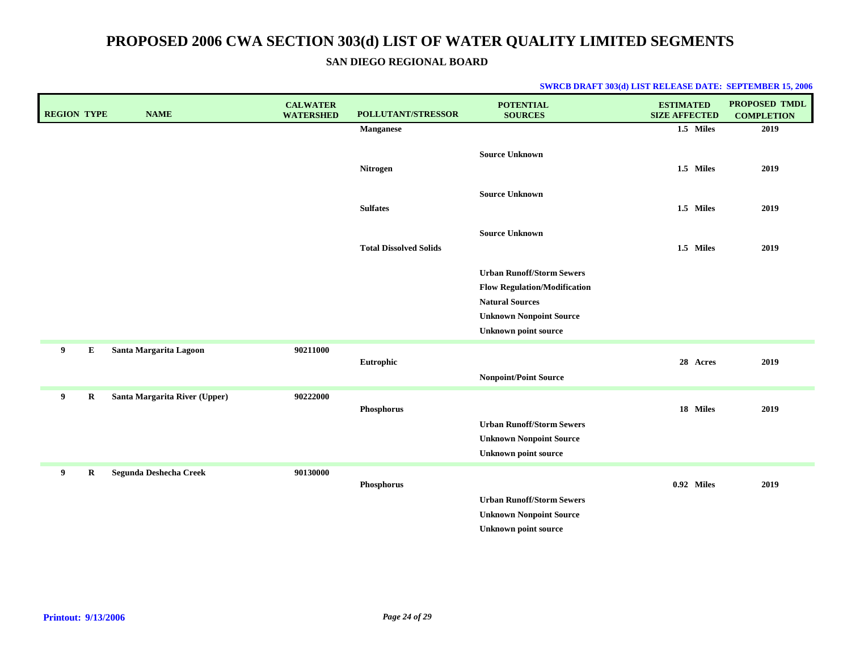**SAN DIEGO REGIONAL BOARD**

| <b>REGION TYPE</b> | <b>NAME</b>                   | <b>CALWATER</b><br><b>WATERSHED</b> | POLLUTANT/STRESSOR            | <b>POTENTIAL</b><br><b>SOURCES</b>                                                                                                                                 | <b>ESTIMATED</b><br><b>SIZE AFFECTED</b> | <b>PROPOSED TMDL</b><br><b>COMPLETION</b> |
|--------------------|-------------------------------|-------------------------------------|-------------------------------|--------------------------------------------------------------------------------------------------------------------------------------------------------------------|------------------------------------------|-------------------------------------------|
|                    |                               |                                     | <b>Manganese</b>              |                                                                                                                                                                    | 1.5 Miles                                | 2019                                      |
|                    |                               |                                     | Nitrogen                      | <b>Source Unknown</b>                                                                                                                                              | 1.5 Miles                                | 2019                                      |
|                    |                               |                                     | <b>Sulfates</b>               | <b>Source Unknown</b>                                                                                                                                              | 1.5 Miles                                | 2019                                      |
|                    |                               |                                     | <b>Total Dissolved Solids</b> | <b>Source Unknown</b>                                                                                                                                              | 1.5 Miles                                | 2019                                      |
|                    |                               |                                     |                               | <b>Urban Runoff/Storm Sewers</b><br><b>Flow Regulation/Modification</b><br><b>Natural Sources</b><br><b>Unknown Nonpoint Source</b><br><b>Unknown point source</b> |                                          |                                           |
| 9<br>E             | Santa Margarita Lagoon        | 90211000                            | Eutrophic                     | <b>Nonpoint/Point Source</b>                                                                                                                                       | 28 Acres                                 | 2019                                      |
| 9<br>$\bf R$       | Santa Margarita River (Upper) | 90222000                            | Phosphorus                    | <b>Urban Runoff/Storm Sewers</b><br><b>Unknown Nonpoint Source</b><br><b>Unknown point source</b>                                                                  | 18 Miles                                 | 2019                                      |
| 9<br>$\bf R$       | Segunda Deshecha Creek        | 90130000                            | Phosphorus                    | <b>Urban Runoff/Storm Sewers</b><br><b>Unknown Nonpoint Source</b><br><b>Unknown point source</b>                                                                  | 0.92 Miles                               | 2019                                      |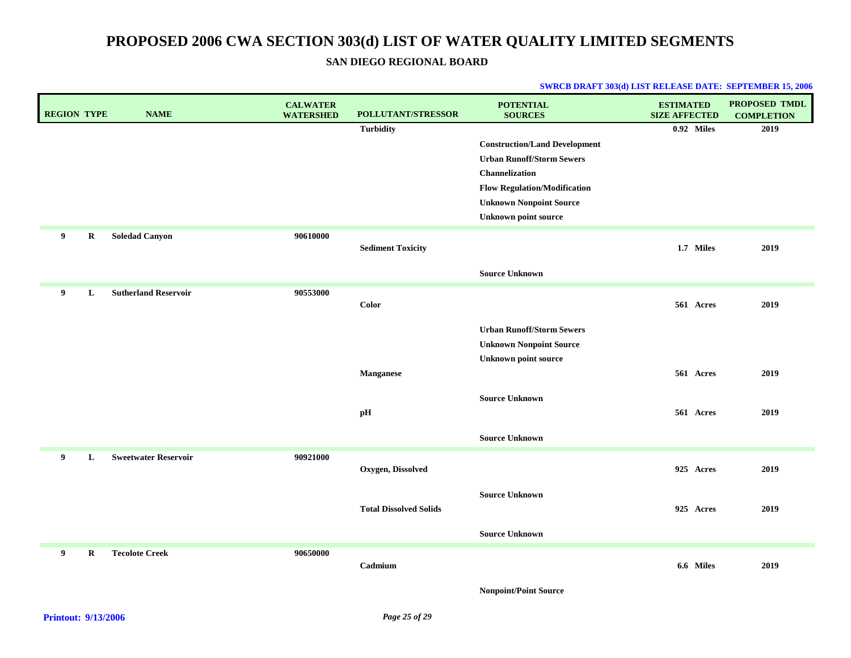### **SAN DIEGO REGIONAL BOARD**

| <b>REGION TYPE</b> | <b>NAME</b>                 | <b>CALWATER</b><br><b>WATERSHED</b> | <b>POLLUTANT/STRESSOR</b>     | <b>POTENTIAL</b><br><b>SOURCES</b>   | <b>ESTIMATED</b><br><b>SIZE AFFECTED</b> | PROPOSED TMDL<br><b>COMPLETION</b> |
|--------------------|-----------------------------|-------------------------------------|-------------------------------|--------------------------------------|------------------------------------------|------------------------------------|
|                    |                             |                                     | <b>Turbidity</b>              |                                      | 0.92 Miles                               | 2019                               |
|                    |                             |                                     |                               | <b>Construction/Land Development</b> |                                          |                                    |
|                    |                             |                                     |                               | <b>Urban Runoff/Storm Sewers</b>     |                                          |                                    |
|                    |                             |                                     |                               | Channelization                       |                                          |                                    |
|                    |                             |                                     |                               | <b>Flow Regulation/Modification</b>  |                                          |                                    |
|                    |                             |                                     |                               | <b>Unknown Nonpoint Source</b>       |                                          |                                    |
|                    |                             |                                     |                               | <b>Unknown point source</b>          |                                          |                                    |
| 9<br>R             | <b>Soledad Canyon</b>       | 90610000                            |                               |                                      |                                          |                                    |
|                    |                             |                                     | <b>Sediment Toxicity</b>      |                                      | 1.7 Miles                                | 2019                               |
|                    |                             |                                     |                               | <b>Source Unknown</b>                |                                          |                                    |
| 9<br>L             | <b>Sutherland Reservoir</b> | 90553000                            |                               |                                      |                                          |                                    |
|                    |                             |                                     | Color                         |                                      | 561 Acres                                | 2019                               |
|                    |                             |                                     |                               | <b>Urban Runoff/Storm Sewers</b>     |                                          |                                    |
|                    |                             |                                     |                               | <b>Unknown Nonpoint Source</b>       |                                          |                                    |
|                    |                             |                                     |                               | <b>Unknown point source</b>          |                                          |                                    |
|                    |                             |                                     | <b>Manganese</b>              |                                      | 561 Acres                                | 2019                               |
|                    |                             |                                     |                               |                                      |                                          |                                    |
|                    |                             |                                     |                               | <b>Source Unknown</b>                |                                          |                                    |
|                    |                             |                                     | pH                            |                                      | 561 Acres                                | 2019                               |
|                    |                             |                                     |                               | <b>Source Unknown</b>                |                                          |                                    |
| 9<br>L             | <b>Sweetwater Reservoir</b> | 90921000                            |                               |                                      |                                          |                                    |
|                    |                             |                                     | Oxygen, Dissolved             |                                      | 925 Acres                                | 2019                               |
|                    |                             |                                     |                               | <b>Source Unknown</b>                |                                          |                                    |
|                    |                             |                                     | <b>Total Dissolved Solids</b> |                                      | 925 Acres                                | 2019                               |
|                    |                             |                                     |                               |                                      |                                          |                                    |
|                    |                             |                                     |                               | <b>Source Unknown</b>                |                                          |                                    |
| 9<br>$\bf R$       | <b>Tecolote Creek</b>       | 90650000                            |                               |                                      |                                          |                                    |
|                    |                             |                                     | Cadmium                       |                                      | 6.6 Miles                                | 2019                               |
|                    |                             |                                     |                               | <b>Nonpoint/Point Source</b>         |                                          |                                    |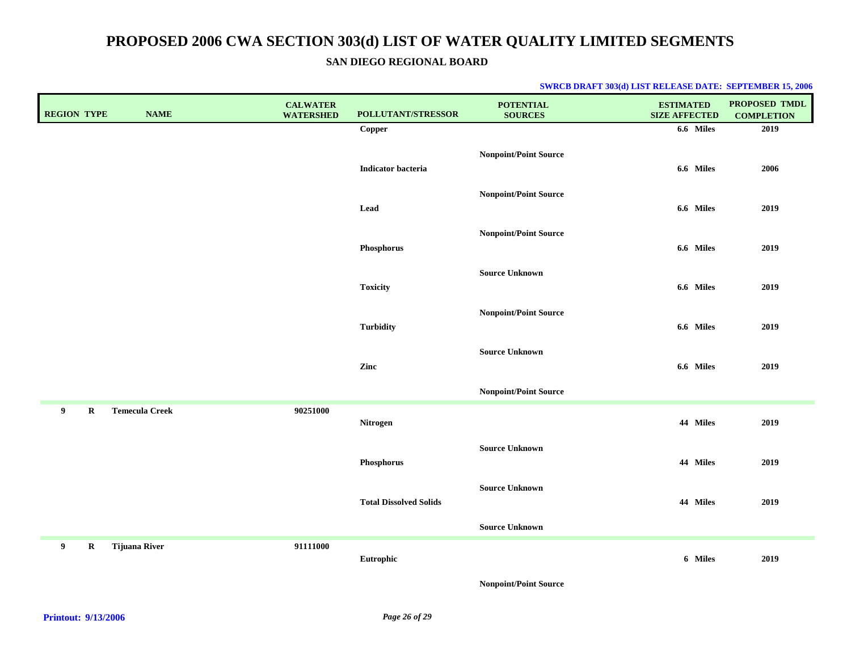**SAN DIEGO REGIONAL BOARD**

| <b>REGION TYPE</b> |             | <b>NAME</b>           | <b>CALWATER</b><br><b>WATERSHED</b> | POLLUTANT/STRESSOR            | <b>POTENTIAL</b><br><b>SOURCES</b> | <b>ESTIMATED</b><br><b>SIZE AFFECTED</b> | PROPOSED TMDL<br><b>COMPLETION</b> |
|--------------------|-------------|-----------------------|-------------------------------------|-------------------------------|------------------------------------|------------------------------------------|------------------------------------|
|                    |             |                       |                                     | Copper                        |                                    | 6.6 Miles                                | 2019                               |
|                    |             |                       |                                     | Indicator bacteria            | <b>Nonpoint/Point Source</b>       | 6.6 Miles                                | 2006                               |
|                    |             |                       |                                     | Lead                          | <b>Nonpoint/Point Source</b>       | 6.6 Miles                                | 2019                               |
|                    |             |                       |                                     | Phosphorus                    | <b>Nonpoint/Point Source</b>       | 6.6 Miles                                | 2019                               |
|                    |             |                       |                                     | <b>Toxicity</b>               | <b>Source Unknown</b>              | 6.6 Miles                                | 2019                               |
|                    |             |                       |                                     | <b>Turbidity</b>              | <b>Nonpoint/Point Source</b>       | 6.6 Miles                                | 2019                               |
|                    |             |                       |                                     | Zinc                          | <b>Source Unknown</b>              | 6.6 Miles                                | 2019                               |
|                    |             |                       |                                     |                               | <b>Nonpoint/Point Source</b>       |                                          |                                    |
| 9 <sup>1</sup>     | $\mathbf R$ | <b>Temecula Creek</b> | 90251000                            | Nitrogen                      |                                    | 44 Miles                                 | 2019                               |
|                    |             |                       |                                     | Phosphorus                    | <b>Source Unknown</b>              | 44 Miles                                 | 2019                               |
|                    |             |                       |                                     | <b>Total Dissolved Solids</b> | <b>Source Unknown</b>              | 44 Miles                                 | 2019                               |
|                    |             |                       |                                     |                               | <b>Source Unknown</b>              |                                          |                                    |
| 9                  | $\mathbf R$ | <b>Tijuana River</b>  | 91111000                            | Eutrophic                     |                                    | 6 Miles                                  | 2019                               |
|                    |             |                       |                                     |                               | <b>Nonpoint/Point Source</b>       |                                          |                                    |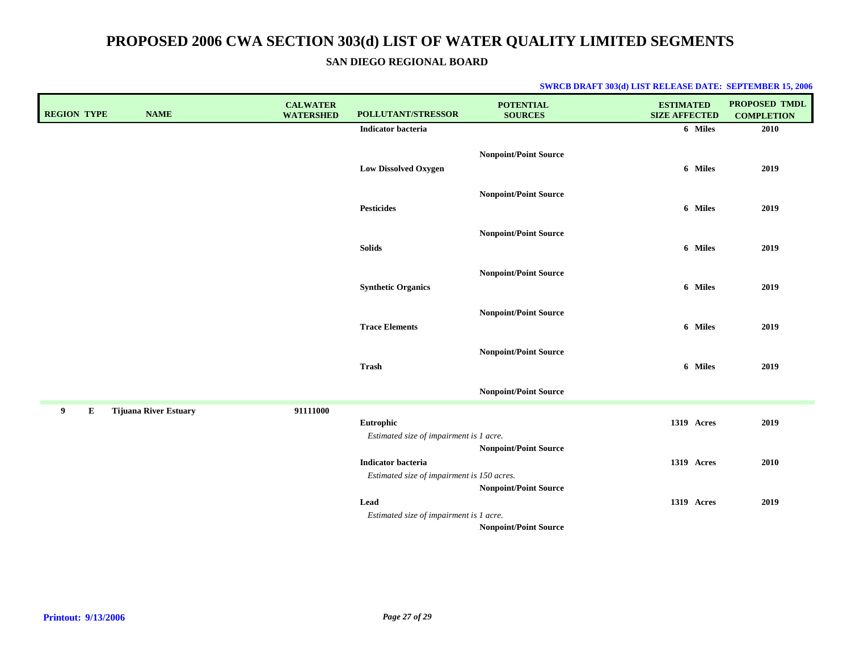**SAN DIEGO REGIONAL BOARD**

| <b>REGION TYPE</b> | <b>NAME</b>                  | <b>CALWATER</b><br><b>WATERSHED</b> | POLLUTANT/STRESSOR                                                      | <b>POTENTIAL</b><br><b>SOURCES</b> | <b>ESTIMATED</b><br><b>SIZE AFFECTED</b> | <b>PROPOSED TMDL</b><br><b>COMPLETION</b> |
|--------------------|------------------------------|-------------------------------------|-------------------------------------------------------------------------|------------------------------------|------------------------------------------|-------------------------------------------|
|                    |                              |                                     | <b>Indicator bacteria</b>                                               |                                    | 6 Miles                                  | 2010                                      |
|                    |                              |                                     | <b>Low Dissolved Oxygen</b>                                             | Nonpoint/Point Source              | 6 Miles                                  | 2019                                      |
|                    |                              |                                     | <b>Pesticides</b>                                                       | <b>Nonpoint/Point Source</b>       | 6 Miles                                  | 2019                                      |
|                    |                              |                                     | <b>Solids</b>                                                           | <b>Nonpoint/Point Source</b>       | 6 Miles                                  | 2019                                      |
|                    |                              |                                     | <b>Synthetic Organics</b>                                               | <b>Nonpoint/Point Source</b>       | 6 Miles                                  | 2019                                      |
|                    |                              |                                     | <b>Trace Elements</b>                                                   | <b>Nonpoint/Point Source</b>       | 6 Miles                                  | 2019                                      |
|                    |                              |                                     | <b>Trash</b>                                                            | <b>Nonpoint/Point Source</b>       | 6 Miles                                  | 2019                                      |
|                    |                              |                                     |                                                                         | <b>Nonpoint/Point Source</b>       |                                          |                                           |
| 9<br>E             | <b>Tijuana River Estuary</b> | 91111000                            | Eutrophic<br>Estimated size of impairment is 1 acre.                    | <b>Nonpoint/Point Source</b>       | 1319 Acres                               | 2019                                      |
|                    |                              |                                     | <b>Indicator bacteria</b><br>Estimated size of impairment is 150 acres. | <b>Nonpoint/Point Source</b>       | 1319 Acres                               | 2010                                      |
|                    |                              |                                     | Lead<br>Estimated size of impairment is 1 acre.                         |                                    | 1319 Acres                               | 2019                                      |
|                    |                              |                                     |                                                                         | <b>Nonpoint/Point Source</b>       |                                          |                                           |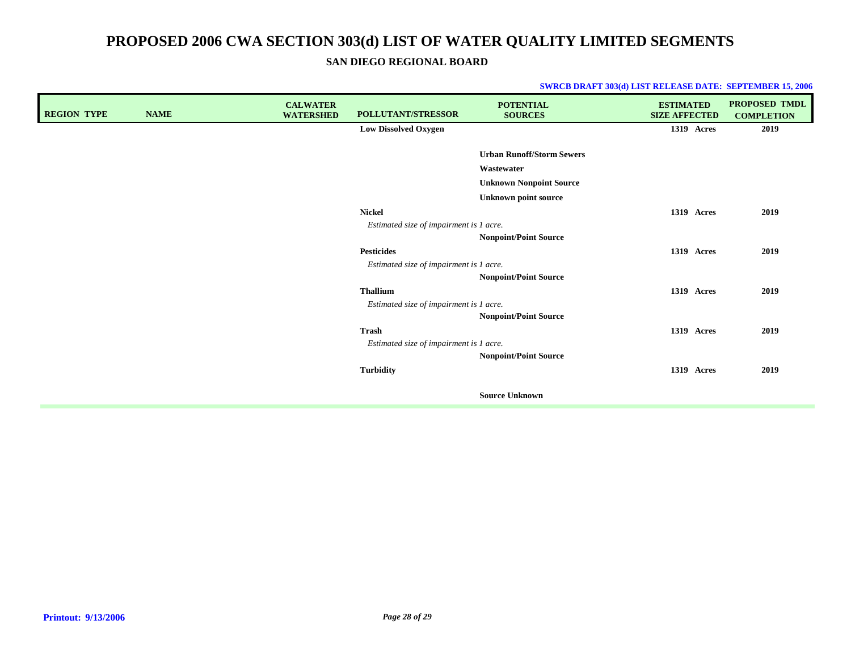**SAN DIEGO REGIONAL BOARD**

| <b>REGION TYPE</b> | <b>NAME</b> | <b>CALWATER</b><br><b>WATERSHED</b> | POLLUTANT/STRESSOR                      | <b>POTENTIAL</b><br><b>SOURCES</b> | <b>ESTIMATED</b><br><b>SIZE AFFECTED</b> | <b>PROPOSED TMDL</b><br><b>COMPLETION</b> |
|--------------------|-------------|-------------------------------------|-----------------------------------------|------------------------------------|------------------------------------------|-------------------------------------------|
|                    |             |                                     | <b>Low Dissolved Oxygen</b>             |                                    | 1319 Acres                               | 2019                                      |
|                    |             |                                     |                                         |                                    |                                          |                                           |
|                    |             |                                     |                                         | <b>Urban Runoff/Storm Sewers</b>   |                                          |                                           |
|                    |             |                                     |                                         | Wastewater                         |                                          |                                           |
|                    |             |                                     |                                         | <b>Unknown Nonpoint Source</b>     |                                          |                                           |
|                    |             |                                     |                                         | <b>Unknown point source</b>        |                                          |                                           |
|                    |             |                                     | <b>Nickel</b>                           |                                    | 1319 Acres                               | 2019                                      |
|                    |             |                                     | Estimated size of impairment is 1 acre. |                                    |                                          |                                           |
|                    |             |                                     |                                         | <b>Nonpoint/Point Source</b>       |                                          |                                           |
|                    |             |                                     | <b>Pesticides</b>                       |                                    | 1319 Acres                               | 2019                                      |
|                    |             |                                     | Estimated size of impairment is 1 acre. |                                    |                                          |                                           |
|                    |             |                                     |                                         | <b>Nonpoint/Point Source</b>       |                                          |                                           |
|                    |             |                                     | <b>Thallium</b>                         |                                    | 1319 Acres                               | 2019                                      |
|                    |             |                                     | Estimated size of impairment is 1 acre. |                                    |                                          |                                           |
|                    |             |                                     |                                         | <b>Nonpoint/Point Source</b>       |                                          |                                           |
|                    |             |                                     | <b>Trash</b>                            |                                    | <b>1319 Acres</b>                        | 2019                                      |
|                    |             |                                     | Estimated size of impairment is 1 acre. |                                    |                                          |                                           |
|                    |             |                                     |                                         | <b>Nonpoint/Point Source</b>       |                                          |                                           |
|                    |             |                                     | <b>Turbidity</b>                        |                                    | 1319 Acres                               | 2019                                      |
|                    |             |                                     |                                         |                                    |                                          |                                           |
|                    |             |                                     |                                         | <b>Source Unknown</b>              |                                          |                                           |